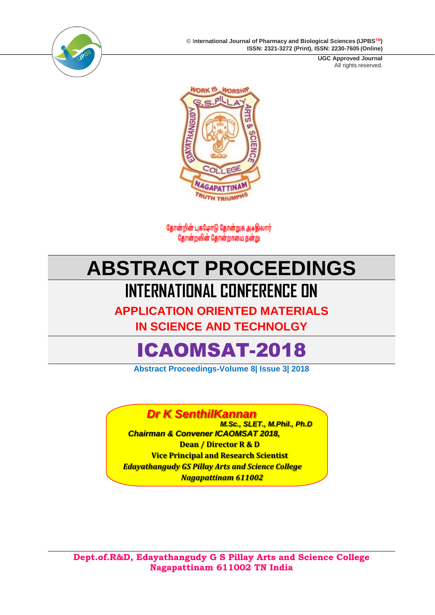© I**nternational Journal of Pharmacy and Biological Sciences (IJPBSTM) ISSN: 2321-3272 (Print), ISSN: 2230-7605 (Online)**



**UGC Approved Journal** All rights reserved.



தோன்றின் புகழோடு தோன்றுக அகதிலார் தோன்றலின் தோன்றாமை நன்று

# **ABSTRACT PROCEEDINGS INTERNATIONAL CONFERENCE ON**

**APPLICATION ORIENTED MATERIALS** 

**IN SCIENCE AND TECHNOLGY**

# ICAOMSAT-2018

**Abstract Proceedings-Volume 8| Issue 3| 2018**

### *Dr K SenthilKannan*

 *M.Sc., SLET., M.Phil., Ph.D Chairman & Convener ICAOMSAT 2018,* **Dean / Director R & D Vice Principal and Research Scientist** *Edayathangudy GS Pillay Arts and Science College Nagapattinam 611002*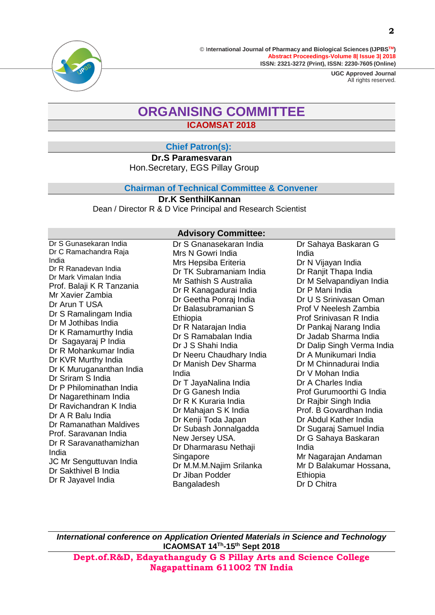

> **UGC Approved Journal** All rights reserved.

### **ORGANISING COMMITTEE ICAOMSAT 2018**

### **Chief Patron(s):**

**Dr.S Paramesvaran** Hon.Secretary, EGS Pillay Group

#### **Chairman of Technical Committee & Convener**

**Dr.K SenthilKannan** Dean / Director R & D Vice Principal and Research Scientist

#### **Advisory Committee:**

Dr S Gunasekaran India Dr C Ramachandra Raja India Dr R Ranadevan India Dr Mark Vimalan India Prof. Balaji K R Tanzania Mr Xavier Zambia Dr Arun T USA Dr S Ramalingam India Dr M Jothibas India Dr K Ramamurthy India Dr Sagayaraj P India Dr R Mohankumar India Dr KVR Murthy India Dr K Murugananthan India Dr Sriram S India Dr P Philominathan India Dr Nagarethinam India Dr Ravichandran K India Dr A R Balu India Dr Ramanathan Maldives Prof. Saravanan India Dr R Saravanathamizhan India JC Mr Senguttuvan India Dr Sakthivel B India Dr R Jayavel India Dr S Gnanasekaran India

Mrs N Gowri India Mrs Hepsiba Eriteria Dr TK Subramaniam India Mr Sathish S Australia Dr R Kanagadurai India Dr Geetha Ponraj India Dr Balasubramanian S **Ethiopia** Dr R Natarajan India Dr S Ramabalan India Dr J S Shahi India Dr Neeru [Chaudhary](https://www.google.com/url?sa=t&rct=j&q&esrc=s&source=web&cd=3&cad=rja&uact=8&ved=2ahUKEwjQn_bfmOncAhWIRY8KHVlZCD8QFjACegQIBBAB&url=http%3A%2F%2Fphysics.puchd.ac.in%2Ffaculty%2Fneeru.html&usg=AOvVaw3_9td18jdYSNTzM4rtNhYJ) India Dr Manish Dev Sharma India Dr T JayaNalina India Dr G Ganesh India Dr R K Kuraria India Dr Mahajan S K India Dr Kenji Toda Japan Dr Subash Jonnalgadda New Jersey USA. Dr Dharmarasu Nethaji Singapore Dr M.M.M.Najim Srilanka Dr Jiban Podder Bangaladesh

Dr Sahaya Baskaran G India Dr N Vijayan India Dr Ranjit Thapa India Dr M Selvapandiyan India Dr P Mani India Dr U S Srinivasan Oman Prof V Neelesh Zambia Prof Srinivasan R India Dr Pankaj Narang India Dr Jadab Sharma India Dr Dalip Singh Verma India Dr A Munikumari India Dr M Chinnadurai India Dr V Mohan India Dr A Charles India Prof Gurumoorthi G India Dr Rajbir Singh India Prof. B Govardhan India Dr Abdul Kather India Dr Sugaraj Samuel India Dr G Sahaya Baskaran India Mr Nagarajan Andaman Mr D Balakumar Hossana, **Ethiopia** Dr D Chitra

*International conference on Application Oriented Materials in Science and Technology* **ICAOMSAT 14Th -15th Sept 2018**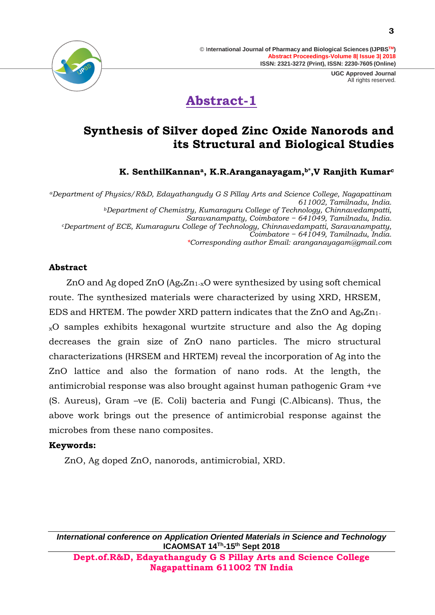> **UGC Approved Journal** All rights reserved.





### **Synthesis of Silver doped Zinc Oxide Nanorods and its Structural and Biological Studies**

**K. SenthilKannana, K.R.Aranganayagam,b\*,V Ranjith Kumar<sup>c</sup>**

*<sup>a</sup>Department of Physics/R&D, Edayathangudy G S Pillay Arts and Science College, Nagapattinam 611002, Tamilnadu, India. <sup>b</sup>Department of Chemistry, Kumaraguru College of Technology, Chinnavedampatti, Saravanampatty, Coimbatore − 641049, Tamilnadu, India. <sup>c</sup>Department of ECE, Kumaraguru College of Technology, Chinnavedampatti, Saravanampatty, Coimbatore − 641049, Tamilnadu, India. \*Corresponding author Email: aranganayagam@gmail.com*

#### **Abstract**

ZnO and Ag doped ZnO  $(Ag_xZn_{1-x}O$  were synthesized by using soft chemical route. The synthesized materials were characterized by using XRD, HRSEM, EDS and HRTEM. The powder XRD pattern indicates that the ZnO and  $Ag_xZn_1$ . <sup>x</sup>O samples exhibits hexagonal wurtzite structure and also the Ag doping decreases the grain size of ZnO nano particles. The micro structural characterizations (HRSEM and HRTEM) reveal the incorporation of Ag into the ZnO lattice and also the formation of nano rods. At the length, the antimicrobial response was also brought against human pathogenic Gram +ve (S. Aureus), Gram –ve (E. Coli) bacteria and Fungi (C.Albicans). Thus, the above work brings out the presence of antimicrobial response against the microbes from these nano composites.

#### **Keywords:**

ZnO, Ag doped ZnO, nanorods, antimicrobial, XRD.

*International conference on Application Oriented Materials in Science and Technology* **ICAOMSAT 14Th -15th Sept 2018 Dept.of.R&D, Edayathangudy G S Pillay Arts and Science College** 

**Nagapattinam 611002 TN India**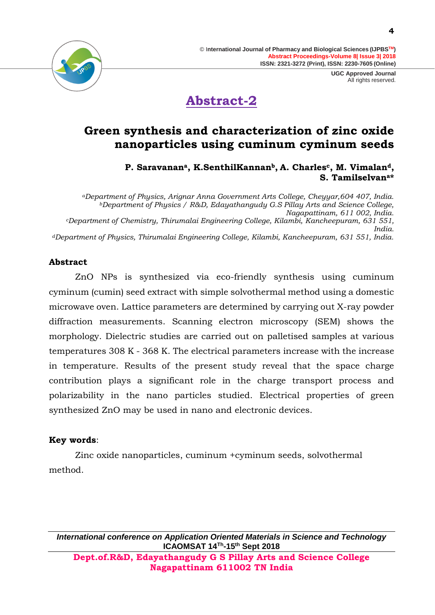



### **Green synthesis and characterization of zinc oxide nanoparticles using cuminum cyminum seeds**

### **P. Saravanana, K.SenthilKannanb, A. Charlesc, M. Vimaland, S. Tamilselvana\***

*<sup>a</sup>Department of Physics, Arignar Anna Government Arts College, Cheyyar,604 407, India. <sup>b</sup>Department of Physics / R&D, Edayathangudy G.S Pillay Arts and Science College, Nagapattinam, 611 002, India. <sup>c</sup>Department of Chemistry, Thirumalai Engineering College, Kilambi, Kancheepuram, 631 551, India. <sup>d</sup>Department of Physics, Thirumalai Engineering College, Kilambi, Kancheepuram, 631 551, India.*

### **Abstract**

ZnO NPs is synthesized via eco-friendly synthesis using cuminum cyminum (cumin) seed extract with simple solvothermal method using a domestic microwave oven. Lattice parameters are determined by carrying out X-ray powder diffraction measurements. Scanning electron microscopy (SEM) shows the morphology. Dielectric studies are carried out on palletised samples at various temperatures 308 K - 368 K. The electrical parameters increase with the increase in temperature. Results of the present study reveal that the space charge contribution plays a significant role in the charge transport process and polarizability in the nano particles studied. Electrical properties of green synthesized ZnO may be used in nano and electronic devices.

### **Key words**:

Zinc oxide nanoparticles, cuminum +cyminum seeds, solvothermal method.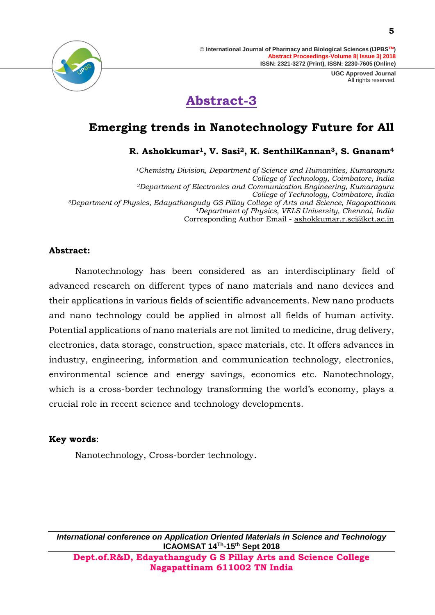> **UGC Approved Journal** All rights reserved.





### **Emerging trends in Nanotechnology Future for All**

**R. Ashokkumar1, V. Sasi2, K. SenthilKannan3, S. Gnanam<sup>4</sup>**

*<sup>1</sup>Chemistry Division, Department of Science and Humanities, Kumaraguru College of Technology, Coimbatore, India <sup>2</sup>Department of Electronics and Communication Engineering, Kumaraguru College of Technology, Coimbatore, India <sup>3</sup>Department of Physics, Edayathangudy GS Pillay College of Arts and Science, Nagapattinam <sup>4</sup>Department of Physics, VELS University, Chennai, India* Corresponding Author Email - [ashokkumar.r.sci@kct.ac.in](mailto:ashokkumar.r.sci@kct.ac.in)

#### **Abstract:**

Nanotechnology has been considered as an interdisciplinary field of advanced research on different types of nano materials and nano devices and their applications in various fields of scientific advancements. New nano products and nano technology could be applied in almost all fields of human activity. Potential applications of nano materials are not limited to medicine, drug delivery, electronics, data storage, construction, space materials, etc. It offers advances in industry, engineering, information and communication technology, electronics, environmental science and energy savings, economics etc. Nanotechnology, which is a cross-border technology transforming the world's economy, plays a crucial role in recent science and technology developments.

#### **Key words**:

Nanotechnology, Cross-border technology.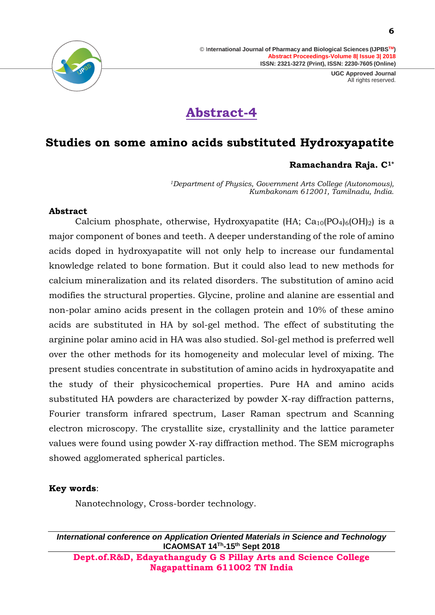> **UGC Approved Journal** All rights reserved.



## **Abstract-4**

### **Studies on some amino acids substituted Hydroxyapatite**

#### **Ramachandra Raja. C1\***

*<sup>1</sup>Department of Physics, Government Arts College (Autonomous), Kumbakonam 612001, Tamilnadu, India.*

#### **Abstract**

Calcium phosphate, otherwise, Hydroxyapatite (HA;  $Ca_{10}(PO_{4})_{6}(OH)_{2}$ ) is a major component of bones and teeth. A deeper understanding of the role of amino acids doped in hydroxyapatite will not only help to increase our fundamental knowledge related to bone formation. But it could also lead to new methods for calcium mineralization and its related disorders. The substitution of amino acid modifies the structural properties. Glycine, proline and alanine are essential and non-polar amino acids present in the collagen protein and 10% of these amino acids are substituted in HA by sol-gel method. The effect of substituting the arginine polar amino acid in HA was also studied. Sol-gel method is preferred well over the other methods for its homogeneity and molecular level of mixing. The present studies concentrate in substitution of amino acids in hydroxyapatite and the study of their physicochemical properties. Pure HA and amino acids substituted HA powders are characterized by powder X-ray diffraction patterns, Fourier transform infrared spectrum, Laser Raman spectrum and Scanning electron microscopy. The crystallite size, crystallinity and the lattice parameter values were found using powder X-ray diffraction method. The SEM micrographs showed agglomerated spherical particles.

#### **Key words**:

Nanotechnology, Cross-border technology.

*International conference on Application Oriented Materials in Science and Technology* **ICAOMSAT 14Th -15th Sept 2018 Dept.of.R&D, Edayathangudy G S Pillay Arts and Science College** 

**Nagapattinam 611002 TN India**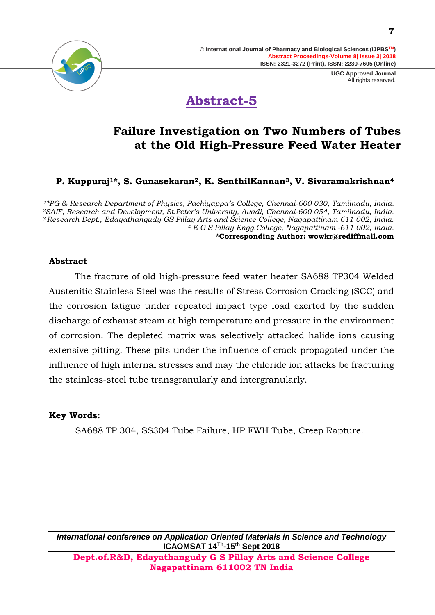

## **Abstract-5**

### **Failure Investigation on Two Numbers of Tubes at the Old High-Pressure Feed Water Heater**

**P. Kuppuraj1\*, S. Gunasekaran2, K. SenthilKannan3, V. Sivaramakrishnan<sup>4</sup>**

*\*PG & Research Department of Physics, Pachiyappa's College, Chennai-600 030, Tamilnadu, India. SAIF, Research and Development, St.Peter's University, Avadi, Chennai-600 054, Tamilnadu, India. Research Dept., Edayathangudy GS Pillay Arts and Science College, Nagapattinam 611 002, India. E G S Pillay Engg.College, Nagapattinam -611 002, India.* **\*Corresponding Author: [wowkr@rediffmail.com](mailto:wowkr@rediffmail.com)**

#### **Abstract**

The fracture of old high-pressure feed water heater SA688 TP304 Welded Austenitic Stainless Steel was the results of Stress Corrosion Cracking (SCC) and the corrosion fatigue under repeated impact type load exerted by the sudden discharge of exhaust steam at high temperature and pressure in the environment of corrosion. The depleted matrix was selectively attacked halide ions causing extensive pitting. These pits under the influence of crack propagated under the influence of high internal stresses and may the chloride ion attacks be fracturing the stainless-steel tube transgranularly and intergranularly.

#### **Key Words:**

SA688 TP 304, SS304 Tube Failure, HP FWH Tube, Creep Rapture.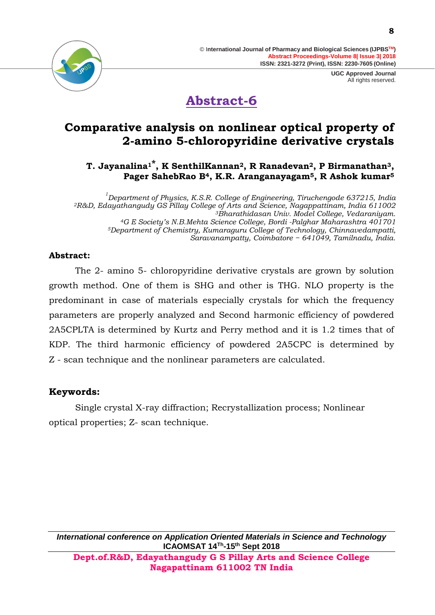



### **Abstract-6**

### **Comparative analysis on nonlinear optical property of 2-amino 5-chloropyridine derivative crystals**

**T. Jayanalina1\*, K SenthilKannan2, R Ranadevan2, P Birmanathan3, Pager SahebRao B4, K.R. Aranganayagam5, R Ashok kumar<sup>5</sup>**

 *Department of Physics, K.S.R. College of Engineering, Tiruchengode 637215, India R&D, Edayathangudy GS Pillay College of Arts and Science, Nagappattinam, India 611002 Bharathidasan Univ. Model College, Vedaraniyam. G E Society's N.B.Mehta Science College, Bordi -Palghar Maharashtra 401701 Department of Chemistry, Kumaraguru College of Technology, Chinnavedampatti, Saravanampatty, Coimbatore − 641049, Tamilnadu, India.*

### **Abstract:**

The 2- amino 5- chloropyridine derivative crystals are grown by solution growth method. One of them is SHG and other is THG. NLO property is the predominant in case of materials especially crystals for which the frequency parameters are properly analyzed and Second harmonic efficiency of powdered 2A5CPLTA is determined by Kurtz and Perry method and it is 1.2 times that of KDP. The third harmonic efficiency of powdered 2A5CPC is determined by Z - scan technique and the nonlinear parameters are calculated.

### **Keywords:**

Single crystal X-ray diffraction; Recrystallization process; Nonlinear optical properties; Z- scan technique.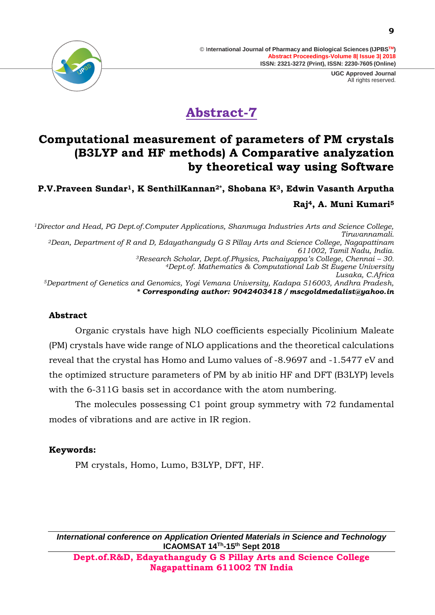> **UGC Approved Journal** All rights reserved.



# **Abstract-7**

### **Computational measurement of parameters of PM crystals (B3LYP and HF methods) A Comparative analyzation by theoretical way using Software**

**P.V.Praveen Sundar1, K SenthilKannan2\*, Shobana K3, Edwin Vasanth Arputha Raj4, A. Muni Kumari<sup>5</sup>**

*<sup>1</sup>Director and Head, PG Dept.of.Computer Applications, Shanmuga Industries Arts and Science College, Tiruvannamali. <sup>2</sup>Dean, Department of R and D, Edayathangudy G S Pillay Arts and Science College, Nagapattinam 611002, Tamil Nadu, India. <sup>3</sup>Research Scholar, Dept.of.Physics, Pachaiyappa's College, Chennai – 30. <sup>4</sup>Dept.of. Mathematics & Computational Lab St Eugene University Lusaka, C.Africa <sup>5</sup>Department of Genetics and Genomics, Yogi Vemana University, Kadapa 516003, Andhra Pradesh, \* Corresponding author: 9042403418 / mscgoldmedalist@yahoo.in*

#### **Abstract**

Organic crystals have high NLO coefficients especially Picolinium Maleate (PM) crystals have wide range of NLO applications and the theoretical calculations reveal that the crystal has Homo and Lumo values of -8.9697 and -1.5477 eV and the optimized structure parameters of PM by ab initio HF and DFT (B3LYP) levels with the 6-311G basis set in accordance with the atom numbering.

The molecules possessing C1 point group symmetry with 72 fundamental modes of vibrations and are active in IR region.

### **Keywords:**

PM crystals, Homo, Lumo, B3LYP, DFT, HF.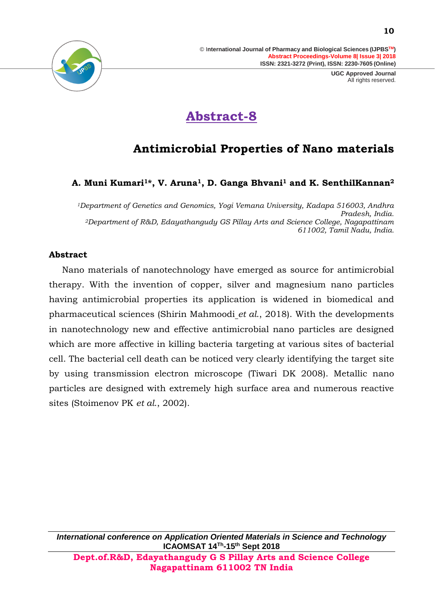> **UGC Approved Journal** All rights reserved.



# **Abstract-8**

### **Antimicrobial Properties of Nano materials**

### **A. Muni Kumari1\*, V. Aruna1, D. Ganga Bhvani<sup>1</sup> and K. SenthilKannan<sup>2</sup>**

*<sup>1</sup>Department of Genetics and Genomics, Yogi Vemana University, Kadapa 516003, Andhra Pradesh, India. <sup>2</sup>Department of R&D, Edayathangudy GS Pillay Arts and Science College, Nagapattinam 611002, Tamil Nadu, India.* 

#### **Abstract**

Nano materials of nanotechnology have emerged as source for antimicrobial therapy. With the invention of copper, silver and magnesium nano particles having antimicrobial properties its application is widened in biomedical and pharmaceutical sciences (Shirin [Mahmoodi](https://www.omicsonline.org/author-profile/shirin-mahmoodi-220456/) *et al*., 2018). With the developments in nanotechnology new and effective antimicrobial nano particles are designed which are more affective in killing bacteria targeting at various sites of bacterial cell. The bacterial cell death can be noticed very clearly identifying the target site by using transmission electron microscope (Tiwari DK 2008). Metallic nano particles are designed with extremely high surface area and numerous reactive sites (Stoimenov PK *et al*., 2002).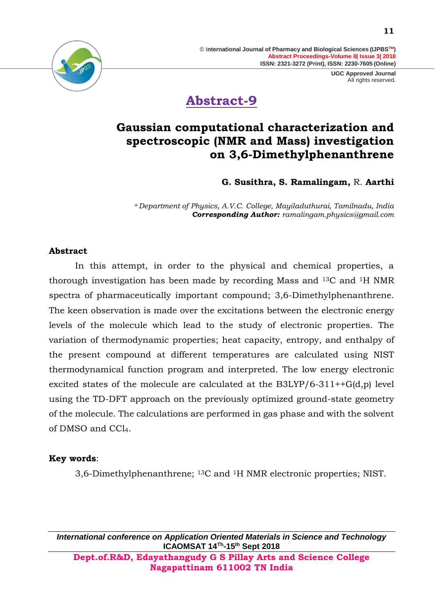> **UGC Approved Journal** All rights reserved.



### **Abstract-9**

### **Gaussian computational characterization and spectroscopic (NMR and Mass) investigation on 3,6-Dimethylphenanthrene**

**G. Susithra, S. Ramalingam,** R. **Aarthi**

*<sup>a</sup>Department of Physics, A.V.C. College, Mayiladuthurai, Tamilnadu, India Corresponding Author: [ramalingam.physics@gmail.com](mailto:ramalingam.physics@gmail.com)*

#### **Abstract**

In this attempt, in order to the physical and chemical properties, a thorough investigation has been made by recording Mass and 13C and 1H NMR spectra of pharmaceutically important compound; 3,6-Dimethylphenanthrene. The keen observation is made over the excitations between the electronic energy levels of the molecule which lead to the study of electronic properties. The variation of thermodynamic properties; heat capacity, entropy, and enthalpy of the present compound at different temperatures are calculated using NIST thermodynamical function program and interpreted. The low energy electronic excited states of the molecule are calculated at the  $B3LYP/6-311++G(d,p)$  level using the TD-DFT approach on the previously optimized ground-state geometry of the molecule. The calculations are performed in gas phase and with the solvent of DMSO and CCl4.

#### **Key words**:

3,6-Dimethylphenanthrene; 13C and 1H NMR electronic properties; NIST.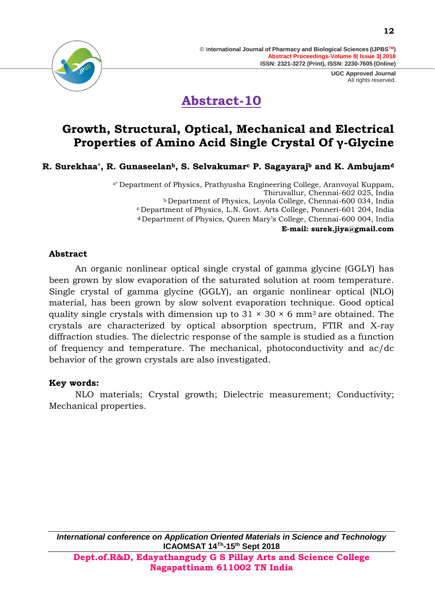

# **Abstract-10**

### **Growth, Structural, Optical, Mechanical and Electrical Properties of Amino Acid Single Crystal Of γ-Glycine**

**R. Surekhaa\*, R. Gunaseelanb, S. Selvakumar<sup>c</sup> P. Sagayaraj<sup>b</sup> and K. Ambujam<sup>d</sup>**

a\* Department of Physics, Prathyusha Engineering College, Aranvoyal Kuppam, Thiruvallur, Chennai-602 025, India <sup>b</sup> Department of Physics, Loyola College, Chennai-600 034, India <sup>c</sup> Department of Physics, L.N. Govt. Arts College, Ponneri-601 204, India <sup>d</sup> Department of Physics, Queen Mary's College, Chennai-600 004, India **E-mail: [surek.jiya@gmail.com](mailto:surek.jiya@gmail.com)**

### **Abstract**

An organic nonlinear optical single crystal of gamma glycine (GGLY) has been grown by slow evaporation of the saturated solution at room temperature. Single crystal of gamma glycine (GGLY), an organic nonlinear optical (NLO) material, has been grown by slow solvent evaporation technique. Good optical quality single crystals with dimension up to  $31 \times 30 \times 6$  mm<sup>3</sup> are obtained. The crystals are characterized by optical absorption spectrum, FTIR and X-ray diffraction studies. The dielectric response of the sample is studied as a function of frequency and temperature. The mechanical, photoconductivity and ac/dc behavior of the grown crystals are also investigated.

#### **Key words:**

NLO materials; Crystal growth; Dielectric measurement; Conductivity; Mechanical properties.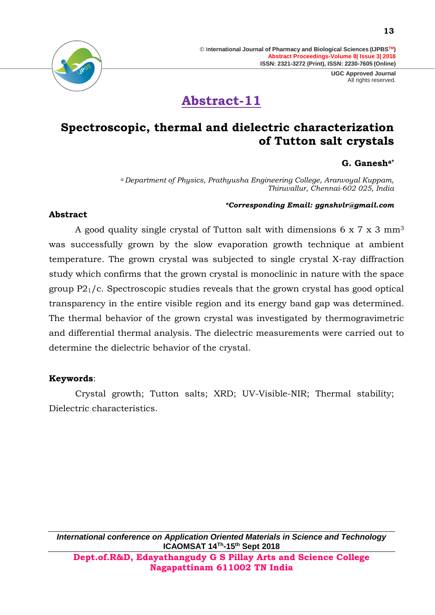> **UGC Approved Journal** All rights reserved.





### **Spectroscopic, thermal and dielectric characterization of Tutton salt crystals**

### **G. Ganesha\***

*<sup>a</sup>Department of Physics, Prathyusha Engineering College, Aranvoyal Kuppam, Thiruvallur, Chennai-602 025, India*

#### *\*Corresponding Email: ggnshvlr@gmail.com*

#### **Abstract**

A good quality single crystal of Tutton salt with dimensions 6 x 7 x 3 mm<sup>3</sup> was successfully grown by the slow evaporation growth technique at ambient temperature. The grown crystal was subjected to single crystal X-ray diffraction study which confirms that the grown crystal is monoclinic in nature with the space group  $P2<sub>1</sub>/c$ . Spectroscopic studies reveals that the grown crystal has good optical transparency in the entire visible region and its energy band gap was determined. The thermal behavior of the grown crystal was investigated by thermogravimetric and differential thermal analysis. The dielectric measurements were carried out to determine the dielectric behavior of the crystal.

### **Keywords**:

Crystal growth; Tutton salts; XRD; UV-Visible-NIR; Thermal stability; Dielectric characteristics.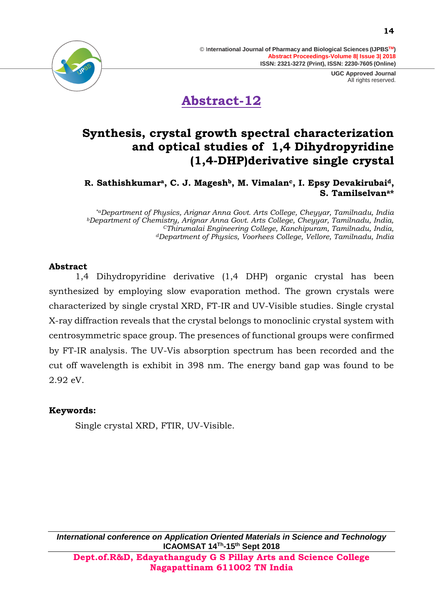



### **Synthesis, crystal growth spectral characterization and optical studies of 1,4 Dihydropyridine (1,4-DHP)derivative single crystal**

**R. Sathishkumara, C. J. Mageshb, M. Vimalanc, I. Epsy Devakirubaid, S. Tamilselvana\***

*\*aDepartment of Physics, Arignar Anna Govt. Arts College, Cheyyar, Tamilnadu, India <sup>b</sup>Department of Chemistry, Arignar Anna Govt. Arts College, Cheyyar, Tamilnadu, India, <sup>C</sup>Thirumalai Engineering College, Kanchipuram, Tamilnadu, India, <sup>d</sup>Department of Physics, Voorhees College, Vellore, Tamilnadu, India*

### **Abstract**

1,4 Dihydropyridine derivative (1,4 DHP) organic crystal has been synthesized by employing slow evaporation method. The grown crystals were characterized by single crystal XRD, FT-IR and UV-Visible studies. Single crystal X-ray diffraction reveals that the crystal belongs to monoclinic crystal system with centrosymmetric space group. The presences of functional groups were confirmed by FT-IR analysis. The UV-Vis absorption spectrum has been recorded and the cut off wavelength is exhibit in 398 nm. The energy band gap was found to be 2.92 eV.

### **Keywords:**

Single crystal XRD, FTIR, UV-Visible.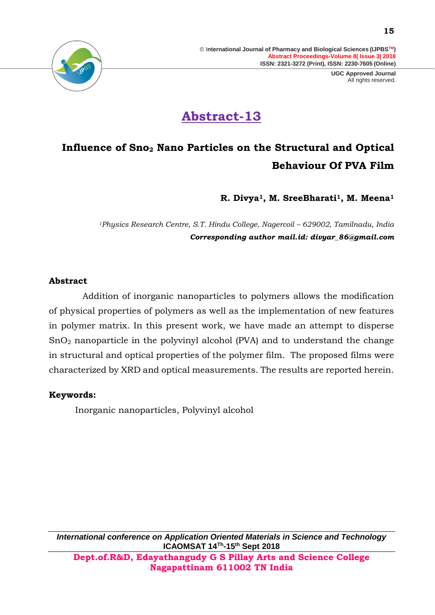> **UGC Approved Journal** All rights reserved.



# **Abstract-13**

# **Influence of Sno<sup>2</sup> Nano Particles on the Structural and Optical Behaviour Of PVA Film**

**R. Divya1, M. SreeBharati1, M. Meena<sup>1</sup>**

*<sup>1</sup>Physics Research Centre, S.T. Hindu College, Nagercoil – 629002, Tamilnadu, India Corresponding author mail.id: divyar\_86@gmail.com*

#### **Abstract**

 Addition of inorganic nanoparticles to polymers allows the modification of physical properties of polymers as well as the implementation of new features in polymer matrix. In this present work, we have made an attempt to disperse SnO<sup>2</sup> nanoparticle in the polyvinyl alcohol (PVA) and to understand the change in structural and optical properties of the polymer film. The proposed films were characterized by XRD and optical measurements. The results are reported herein.

### **Keywords:**

Inorganic nanoparticles, Polyvinyl alcohol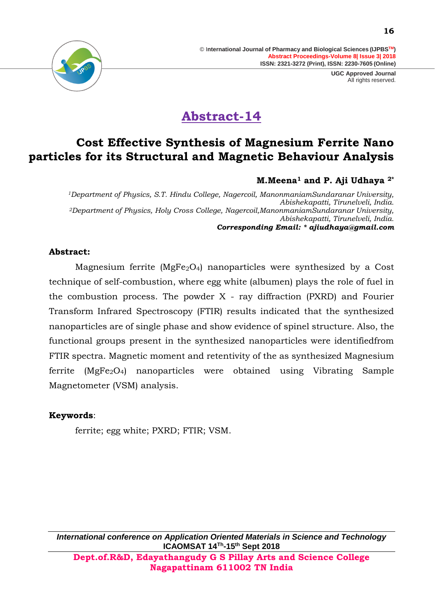

# **Abstract-14**

### **Cost Effective Synthesis of Magnesium Ferrite Nano particles for its Structural and Magnetic Behaviour Analysis**

### **M.Meena<sup>1</sup> and P. Aji Udhaya 2\***

*<sup>1</sup>Department of Physics, S.T. Hindu College, Nagercoil, ManonmaniamSundaranar University, Abishekapatti, Tirunelveli, India. <sup>2</sup>Department of Physics, Holy Cross College, Nagercoil,ManonmaniamSundaranar University, Abishekapatti, Tirunelveli, India. Corresponding Email: \* [ajiudhaya@gmail.com](mailto:ajiudhaya@gmail.com)*

### **Abstract:**

Magnesium ferrite ( $MgFe<sub>2</sub>O<sub>4</sub>$ ) nanoparticles were synthesized by a Cost technique of self-combustion, where egg white (albumen) plays the role of fuel in the combustion process. The powder  $X$  - ray diffraction (PXRD) and Fourier Transform Infrared Spectroscopy (FTIR) results indicated that the synthesized nanoparticles are of single phase and show evidence of spinel structure. Also, the functional groups present in the synthesized nanoparticles were identifiedfrom FTIR spectra. Magnetic moment and retentivity of the as synthesized Magnesium ferrite ( $MgFe<sub>2</sub>O<sub>4</sub>$ ) nanoparticles were obtained using Vibrating Sample Magnetometer (VSM) analysis.

### **Keywords**:

ferrite; egg white; PXRD; FTIR; VSM.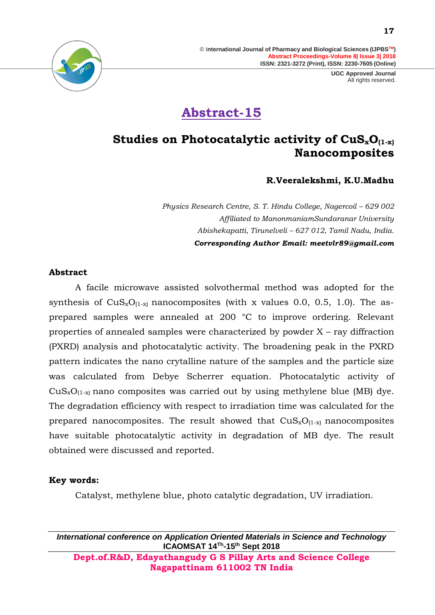> **UGC Approved Journal** All rights reserved.



# **Abstract-15**

### **Studies on Photocatalytic activity of CuSxO(1-x) Nanocomposites**

#### **R.Veeralekshmi, K.U.Madhu**

*Physics Research Centre, S. T. Hindu College, Nagercoil – 629 002 Affiliated to ManonmaniamSundaranar University Abishekapatti, Tirunelveli – 627 012, Tamil Nadu, India. Corresponding Author Email: [meetvlr89@gmail.com](mailto:meetvlr89@gmail.com)*

#### **Abstract**

A facile microwave assisted solvothermal method was adopted for the synthesis of  $CuS_xO_{(1-x)}$  nanocomposites (with x values 0.0, 0.5, 1.0). The asprepared samples were annealed at 200 °C to improve ordering. Relevant properties of annealed samples were characterized by powder X – ray diffraction (PXRD) analysis and photocatalytic activity. The broadening peak in the PXRD pattern indicates the nano crytalline nature of the samples and the particle size was calculated from Debye Scherrer equation. Photocatalytic activity of  $CuS_xO_{(1-x)}$  nano composites was carried out by using methylene blue (MB) dye. The degradation efficiency with respect to irradiation time was calculated for the prepared nanocomposites. The result showed that  $CuS<sub>x</sub>O<sub>(1-x)</sub>$  nanocomposites have suitable photocatalytic activity in degradation of MB dye. The result obtained were discussed and reported.

#### **Key words:**

Catalyst, methylene blue, photo catalytic degradation, UV irradiation.

*International conference on Application Oriented Materials in Science and Technology* **ICAOMSAT 14Th -15th Sept 2018 Dept.of.R&D, Edayathangudy G S Pillay Arts and Science College** 

**Nagapattinam 611002 TN India**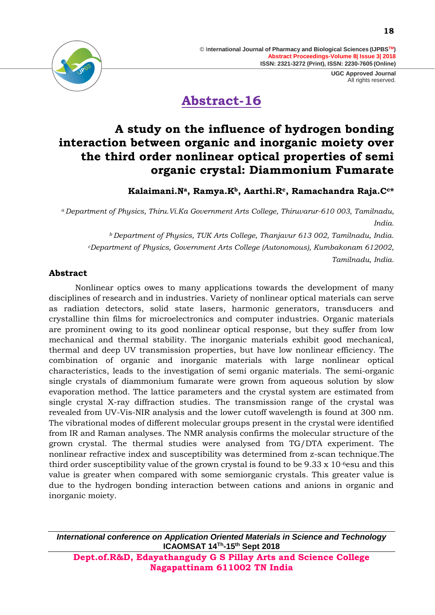

# **Abstract-16**

### **A study on the influence of hydrogen bonding interaction between organic and inorganic moiety over the third order nonlinear optical properties of semi organic crystal: Diammonium Fumarate**

**Kalaimani.Na, Ramya.Kb, Aarthi.Rc, Ramachandra Raja.Cc\***

*<sup>a</sup>Department of Physics, Thiru.Vi.Ka Government Arts College, Thiruvarur-610 003, Tamilnadu, India.*

*<sup>b</sup>Department of Physics, TUK Arts College, Thanjavur 613 002, Tamilnadu, India. <sup>c</sup>Department of Physics, Government Arts College (Autonomous), Kumbakonam 612002, Tamilnadu, India.*

### **Abstract**

Nonlinear optics owes to many applications towards the development of many disciplines of research and in industries. Variety of nonlinear optical materials can serve as radiation detectors, solid state lasers, harmonic generators, transducers and crystalline thin films for microelectronics and computer industries. Organic materials are prominent owing to its good nonlinear optical response, but they suffer from low mechanical and thermal stability. The inorganic materials exhibit good mechanical, thermal and deep UV transmission properties, but have low nonlinear efficiency. The combination of organic and inorganic materials with large nonlinear optical characteristics, leads to the investigation of semi organic materials. The semi-organic single crystals of diammonium fumarate were grown from aqueous solution by slow evaporation method. The lattice parameters and the crystal system are estimated from single crystal X-ray diffraction studies. The transmission range of the crystal was revealed from UV-Vis-NIR analysis and the lower cutoff wavelength is found at 300 nm. The vibrational modes of different molecular groups present in the crystal were identified from IR and Raman analyses. The NMR analysis confirms the molecular structure of the grown crystal. The thermal studies were analysed from TG/DTA experiment. The nonlinear refractive index and susceptibility was determined from z-scan technique.The third order susceptibility value of the grown crystal is found to be  $9.33 \times 10^{-6}$ esu and this value is greater when compared with some semiorganic crystals. This greater value is due to the hydrogen bonding interaction between cations and anions in organic and inorganic moiety.

*International conference on Application Oriented Materials in Science and Technology* **ICAOMSAT 14Th -15th Sept 2018**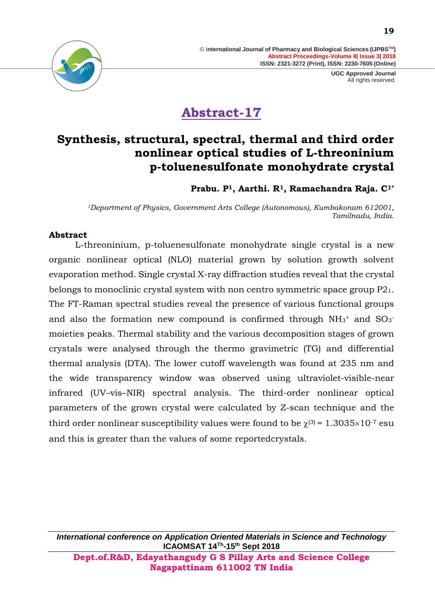



# **Abstract-17**

### **Synthesis, structural, spectral, thermal and third order nonlinear optical studies of L-threoninium p-toluenesulfonate monohydrate crystal**

**Prabu. P1, Aarthi. R1, Ramachandra Raja. C1\***

*<sup>1</sup>Department of Physics, Government Arts College (Autonomous), Kumbakonam 612001, Tamilnadu, India.*

### **Abstract**

L-threoninium, p-toluenesulfonate monohydrate single crystal is a new organic nonlinear optical (NLO) material grown by solution growth solvent evaporation method. Single crystal X-ray diffraction studies reveal that the crystal belongs to monoclinic crystal system with non centro symmetric space group P21. The FT-Raman spectral studies reveal the presence of various functional groups and also the formation new compound is confirmed through  $NH_3^+$  and  $SO_3^$ moieties peaks. Thermal stability and the various decomposition stages of grown crystals were analysed through the thermo gravimetric (TG) and differential thermal analysis (DTA). The lower cutoff wavelength was found at 235 nm and the wide transparency window was observed using ultraviolet-visible-near infrared (UV–vis–NIR) spectral analysis. The third-order nonlinear optical parameters of the grown crystal were calculated by Z-scan technique and the third order nonlinear susceptibility values were found to be  $\chi^{(3)} = 1.3035 \times 10^{-7}$  esu and this is greater than the values of some reportedcrystals.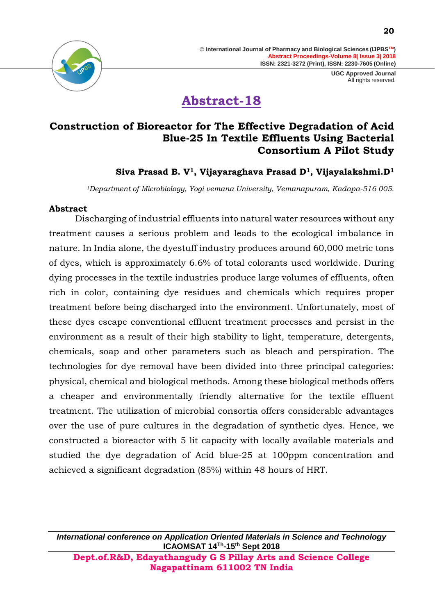

# **Abstract-18**

### **Construction of Bioreactor for The Effective Degradation of Acid Blue-25 In Textile Effluents Using Bacterial Consortium A Pilot Study**

### **Siva Prasad B. V1, Vijayaraghava Prasad D1, Vijayalakshmi.D<sup>1</sup>**

*<sup>1</sup>Department of Microbiology, Yogi vemana University, Vemanapuram, Kadapa-516 005.*

#### **Abstract**

Discharging of industrial effluents into natural water resources without any treatment causes a serious problem and leads to the ecological imbalance in nature. In India alone, the dyestuff industry produces around 60,000 metric tons of dyes, which is approximately 6.6% of total colorants used worldwide. During dying processes in the textile industries produce large volumes of effluents, often rich in color, containing dye residues and chemicals which requires proper treatment before being discharged into the environment. Unfortunately, most of these dyes escape conventional effluent treatment processes and persist in the environment as a result of their high stability to light, temperature, detergents, chemicals, soap and other parameters such as bleach and perspiration. The technologies for dye removal have been divided into three principal categories: physical, chemical and biological methods. Among these biological methods offers a cheaper and environmentally friendly alternative for the textile effluent treatment. The utilization of microbial consortia offers considerable advantages over the use of pure cultures in the degradation of synthetic dyes. Hence, we constructed a bioreactor with 5 lit capacity with locally available materials and studied the dye degradation of Acid blue-25 at 100ppm concentration and achieved a significant degradation (85%) within 48 hours of HRT.

*International conference on Application Oriented Materials in Science and Technology* **ICAOMSAT 14Th -15th Sept 2018 Dept.of.R&D, Edayathangudy G S Pillay Arts and Science College** 

**Nagapattinam 611002 TN India**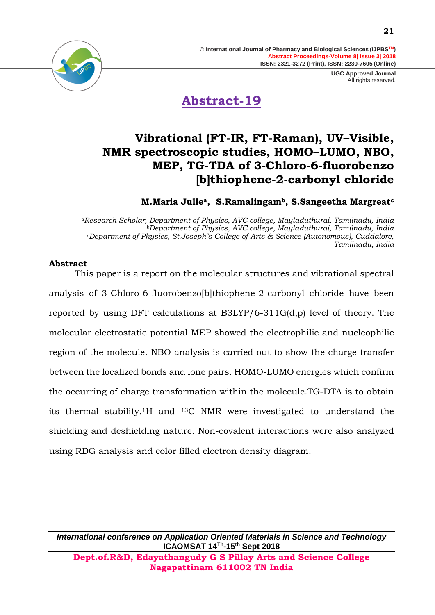



**Abstract-19**

### **Vibrational (FT-IR, FT-Raman), UV–Visible, NMR spectroscopic studies, HOMO–LUMO, NBO, MEP, TG-TDA of 3-Chloro-6-fluorobenzo [b]thiophene-2-carbonyl chloride**

**M.Maria Juliea, S.Ramalingamb, S.Sangeetha Margreat<sup>c</sup>**

*<sup>a</sup>Research Scholar, Department of Physics, AVC college, Mayladuthurai, Tamilnadu, India <sup>b</sup>Department of Physics, AVC college, Mayladuthurai, Tamilnadu, India <sup>c</sup>Department of Physics, St.Joseph's College of Arts & Science (Autonomous), Cuddalore, Tamilnadu, India*

#### **Abstract**

This paper is a report on the molecular structures and vibrational spectral analysis of 3-Chloro-6-fluorobenzo[b]thiophene-2-carbonyl chloride have been reported by using DFT calculations at B3LYP/6-311G(d,p) level of theory. The molecular electrostatic potential MEP showed the electrophilic and nucleophilic region of the molecule. NBO analysis is carried out to show the charge transfer between the localized bonds and lone pairs. HOMO-LUMO energies which confirm the occurring of charge transformation within the molecule.TG-DTA is to obtain its thermal stability.1H and 13C NMR were investigated to understand the shielding and deshielding nature. Non-covalent interactions were also analyzed using RDG analysis and color filled electron density diagram.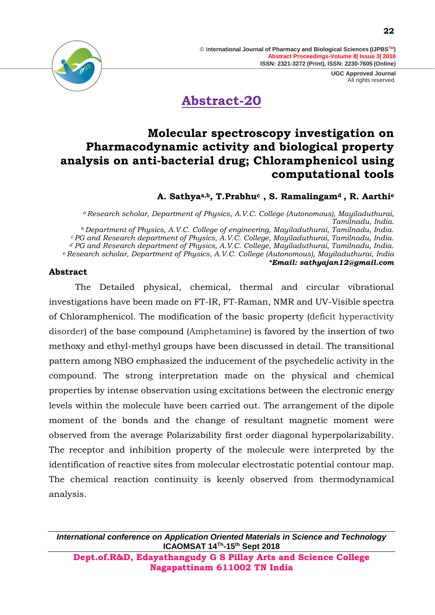> **UGC Approved Journal** All rights reserved.



**Abstract-20**

### **Molecular spectroscopy investigation on Pharmacodynamic activity and biological property analysis on anti-bacterial drug; Chloramphenicol using computational tools**

### **A. Sathyaa,b, T.Prabhu<sup>c</sup> , S. Ramalingamd , R. Aarthi<sup>e</sup>**

*<sup>a</sup>Research scholar, Department of Physics, A.V.C. College (Autonomous), Mayiladuthurai, Tamilnadu, India. <sup>b</sup>Department of Physics, A.V.C. College of engineering, Mayiladuthurai, Tamilnadu, India. <sup>c</sup> PG and Research department of Physics, A.V.C. College, Mayiladuthurai, Tamilnadu, India. <sup>d</sup> PG and Research department of Physics, A.V.C. College, Mayiladuthurai, Tamilnadu, India. <sup>e</sup> Research scholar, Department of Physics, A.V.C. College (Autonomous), Mayiladuthurai, India \*Email: sathyajan12@gmail.com*

#### **Abstract**

The Detailed physical, chemical, thermal and circular vibrational investigations have been made on FT-IR, FT-Raman, NMR and UV-Visible spectra of Chloramphenicol. The modification of the basic property (deficit hyperactivity disorder) of the base compound (Amphetamine) is favored by the insertion of two methoxy and ethyl-methyl groups have been discussed in detail. The transitional pattern among NBO emphasized the inducement of the psychedelic activity in the compound. The strong interpretation made on the physical and chemical properties by intense observation using excitations between the electronic energy levels within the molecule have been carried out. The arrangement of the dipole moment of the bonds and the change of resultant magnetic moment were observed from the average Polarizability first order diagonal hyperpolarizability. The receptor and inhibition property of the molecule were interpreted by the identification of reactive sites from molecular electrostatic potential contour map. The chemical reaction continuity is keenly observed from thermodynamical analysis.

*International conference on Application Oriented Materials in Science and Technology* **ICAOMSAT 14Th -15th Sept 2018**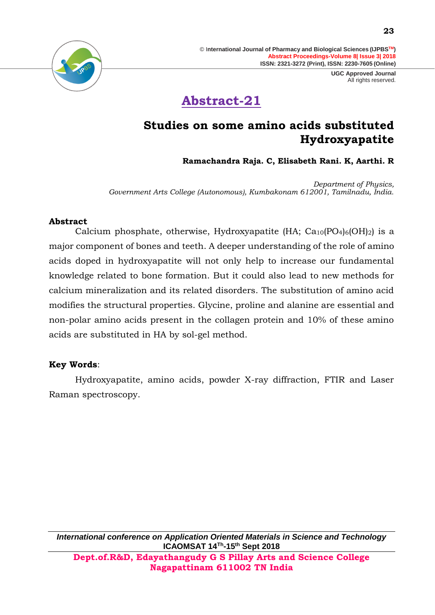# **Abstract-21**

### **Studies on some amino acids substituted Hydroxyapatite**

**Ramachandra Raja. C, Elisabeth Rani. K, Aarthi. R**

*Department of Physics, Government Arts College (Autonomous), Kumbakonam 612001, Tamilnadu, India.*

#### **Abstract**

Calcium phosphate, otherwise, Hydroxyapatite (HA;  $Ca_{10}(PO_{4})_{6}(OH)_{2}$ ) is a major component of bones and teeth. A deeper understanding of the role of amino acids doped in hydroxyapatite will not only help to increase our fundamental knowledge related to bone formation. But it could also lead to new methods for calcium mineralization and its related disorders. The substitution of amino acid modifies the structural properties. Glycine, proline and alanine are essential and non-polar amino acids present in the collagen protein and 10% of these amino acids are substituted in HA by sol-gel method.

#### **Key Words**:

Hydroxyapatite, amino acids, powder X-ray diffraction, FTIR and Laser Raman spectroscopy.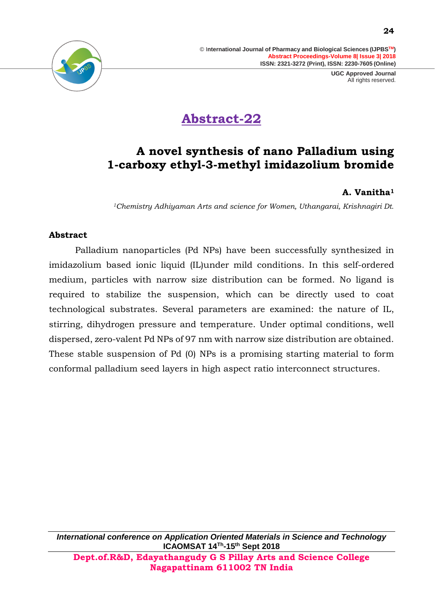

# **Abstract-22**

### **A novel synthesis of nano Palladium using 1-carboxy ethyl-3-methyl imidazolium bromide**

### **A. Vanitha<sup>1</sup>**

*<sup>1</sup>Chemistry Adhiyaman Arts and science for Women, Uthangarai, Krishnagiri Dt.*

#### **Abstract**

Palladium nanoparticles (Pd NPs) have been successfully synthesized in imidazolium based ionic liquid (IL)under mild conditions. In this self-ordered medium, particles with narrow size distribution can be formed. No ligand is required to stabilize the suspension, which can be directly used to coat technological substrates. Several parameters are examined: the nature of IL, stirring, dihydrogen pressure and temperature. Under optimal conditions, well dispersed, zero-valent Pd NPs of 97 nm with narrow size distribution are obtained. These stable suspension of Pd (0) NPs is a promising starting material to form conformal palladium seed layers in high aspect ratio interconnect structures.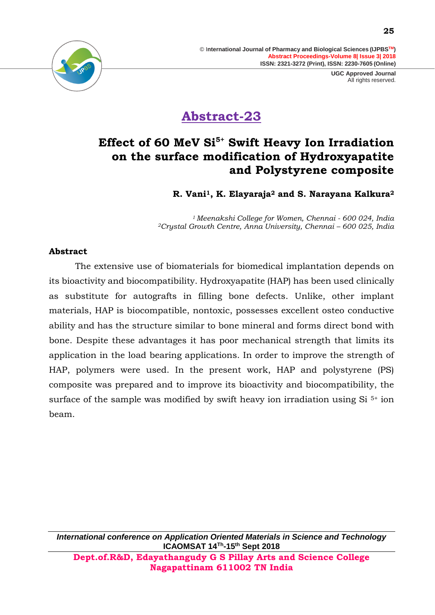

# **Abstract-23**

### **Effect of 60 MeV Si5+ Swift Heavy Ion Irradiation on the surface modification of Hydroxyapatite and Polystyrene composite**

**R. Vani1, K. Elayaraja<sup>2</sup> and S. Narayana Kalkura<sup>2</sup>**

*<sup>1</sup> Meenakshi College for Women, Chennai - 600 024, India <sup>2</sup>Crystal Growth Centre, Anna University, Chennai – 600 025, India*

#### **Abstract**

The extensive use of biomaterials for biomedical implantation depends on its bioactivity and biocompatibility. Hydroxyapatite (HAP) has been used clinically as substitute for autografts in filling bone defects. Unlike, other implant materials, HAP is biocompatible, nontoxic, possesses excellent osteo conductive ability and has the structure similar to bone mineral and forms direct bond with bone. Despite these advantages it has poor mechanical strength that limits its application in the load bearing applications. In order to improve the strength of HAP, polymers were used. In the present work, HAP and polystyrene (PS) composite was prepared and to improve its bioactivity and biocompatibility, the surface of the sample was modified by swift heavy ion irradiation using  $Si<sup>5+</sup>$  ion beam.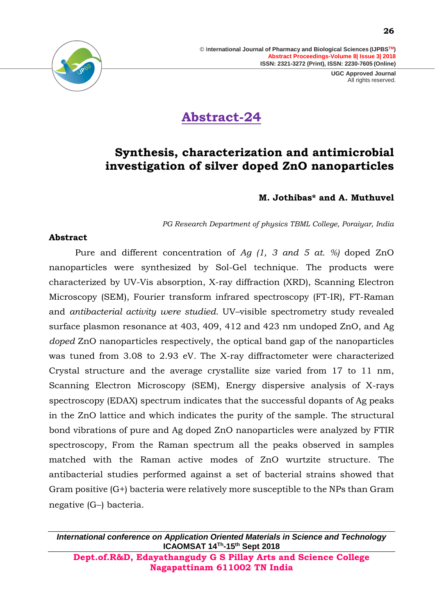

# **Abstract-24**

### **Synthesis, characterization and antimicrobial investigation of silver doped ZnO nanoparticles**

### **M. Jothibas\* and A. Muthuvel**

*PG Research Department of physics TBML College, Poraiyar, India*

#### **Abstract**

Pure and different concentration of *Ag (1, 3 and 5 at. %)* doped ZnO nanoparticles were synthesized by Sol-Gel technique. The products were characterized by UV-Vis absorption, X-ray diffraction (XRD), Scanning Electron Microscopy (SEM), Fourier transform infrared spectroscopy (FT-IR), FT-Raman and *antibacterial activity were studied.* UV–visible spectrometry study revealed surface plasmon resonance at 403, 409, 412 and 423 nm undoped ZnO, and Ag *doped* ZnO nanoparticles respectively, the optical band gap of the nanoparticles was tuned from 3.08 to 2.93 eV*.* The X-ray diffractometer were characterized Crystal structure and the average crystallite size varied from 17 to 11 nm, Scanning Electron Microscopy (SEM), Energy dispersive analysis of X-rays spectroscopy (EDAX) spectrum indicates that the successful dopants of Ag peaks in the ZnO lattice and which indicates the purity of the sample. The structural bond vibrations of pure and Ag doped ZnO nanoparticles were analyzed by FTIR spectroscopy, From the Raman spectrum all the peaks observed in samples matched with the Raman active modes of ZnO wurtzite structure. The antibacterial studies performed against a set of bacterial strains showed that Gram positive (G+) bacteria were relatively more susceptible to the NPs than Gram negative (G−) bacteria.

*International conference on Application Oriented Materials in Science and Technology* **ICAOMSAT 14Th -15th Sept 2018**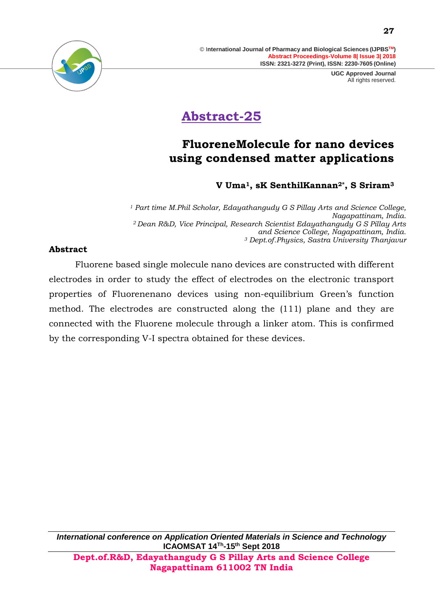

# **Abstract-25**

### **FluoreneMolecule for nano devices using condensed matter applications**

### **V Uma1, sK SenthilKannan2\*, S Sriram<sup>3</sup>**

*<sup>1</sup> Part time M.Phil Scholar, Edayathangudy G S Pillay Arts and Science College, Nagapattinam, India. <sup>2</sup>Dean R&D, Vice Principal, Research Scientist Edayathangudy G S Pillay Arts and Science College, Nagapattinam, India. <sup>3</sup> Dept.of.Physics, Sastra University Thanjavur*

### **Abstract**

Fluorene based single molecule nano devices are constructed with different electrodes in order to study the effect of electrodes on the electronic transport properties of Fluorenenano devices using non-equilibrium Green's function method. The electrodes are constructed along the (111) plane and they are connected with the Fluorene molecule through a linker atom. This is confirmed by the corresponding V-I spectra obtained for these devices.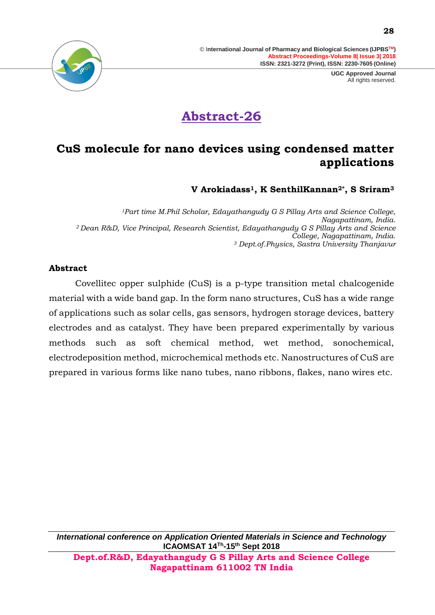> **UGC Approved Journal** All rights reserved.



# **Abstract-26**

### **CuS molecule for nano devices using condensed matter applications**

**V Arokiadass1, K SenthilKannan2\*, S Sriram<sup>3</sup>**

*<sup>1</sup>Part time M.Phil Scholar, Edayathangudy G S Pillay Arts and Science College, Nagapattinam, India. <sup>2</sup>Dean R&D, Vice Principal, Research Scientist, Edayathangudy G S Pillay Arts and Science College, Nagapattinam, India. <sup>3</sup> Dept.of.Physics, Sastra University Thanjavur*

#### **Abstract**

Covellitec opper sulphide (CuS) is a p-type transition metal chalcogenide material with a wide band gap. In the form nano structures, CuS has a wide range of applications such as solar cells, gas sensors, hydrogen storage devices, battery electrodes and as catalyst. They have been prepared experimentally by various methods such as soft chemical method, wet method, sonochemical, electrodeposition method, microchemical methods etc. Nanostructures of CuS are prepared in various forms like nano tubes, nano ribbons, flakes, nano wires etc.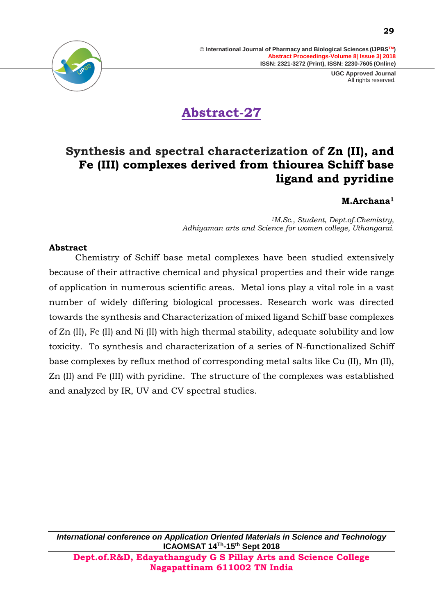> **UGC Approved Journal** All rights reserved.



# **Abstract-27**

### **Synthesis and spectral characterization of Zn (II), and Fe (III) complexes derived from thiourea Schiff base ligand and pyridine**

### **M.Archana<sup>1</sup>**

*<sup>1</sup>M.Sc., Student, Dept.of.Chemistry, Adhiyaman arts and Science for women college, Uthangarai.*

#### **Abstract**

Chemistry of Schiff base metal complexes have been studied extensively because of their attractive chemical and physical properties and their wide range of application in numerous scientific areas. Metal ions play a vital role in a vast number of widely differing biological processes. Research work was directed towards the synthesis and Characterization of mixed ligand Schiff base complexes of Zn (II), Fe (II) and Ni (II) with high thermal stability, adequate solubility and low toxicity. To synthesis and characterization of a series of N-functionalized Schiff base complexes by reflux method of corresponding metal salts like Cu (II), Mn (II), Zn (II) and Fe (III) with pyridine. The structure of the complexes was established and analyzed by IR, UV and CV spectral studies.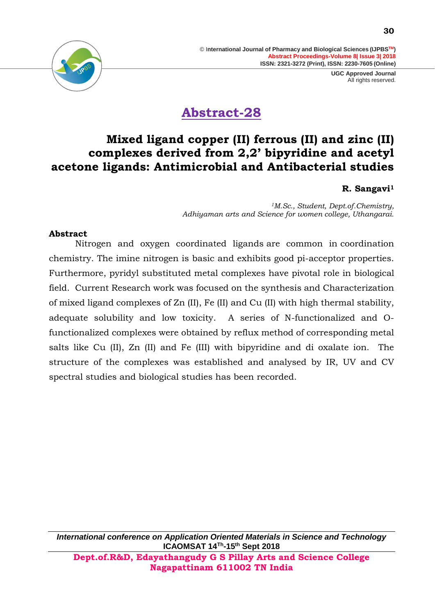> **UGC Approved Journal** All rights reserved.

# **Abstract-28**

### **Mixed ligand copper (II) ferrous (II) and zinc (II) complexes derived from 2,2' bipyridine and acetyl acetone ligands: Antimicrobial and Antibacterial studies**

### **R. Sangavi<sup>1</sup>**

*<sup>1</sup>M.Sc., Student, Dept.of.Chemistry, Adhiyaman arts and Science for women college, Uthangarai.*

#### **Abstract**

Nitrogen and oxygen coordinated [ligands](https://en.wikipedia.org/wiki/Ligand) are common in [coordination](https://en.wikipedia.org/wiki/Coordination_chemistry)  [chemistry.](https://en.wikipedia.org/wiki/Coordination_chemistry) The imine nitrogen is basic and exhibits good [pi-acceptor properties.](https://en.wikipedia.org/wiki/Pi_backbonding) Furthermore, pyridyl substituted metal complexes have pivotal role in biological field. Current Research work was focused on the synthesis and Characterization of mixed ligand complexes of Zn (II), Fe (II) and Cu (II) with high thermal stability, adequate solubility and low toxicity. A series of N-functionalized and Ofunctionalized complexes were obtained by reflux method of corresponding metal salts like Cu (II), Zn (II) and Fe (III) with bipyridine and di oxalate ion. The structure of the complexes was established and analysed by IR, UV and CV spectral studies and biological studies has been recorded.

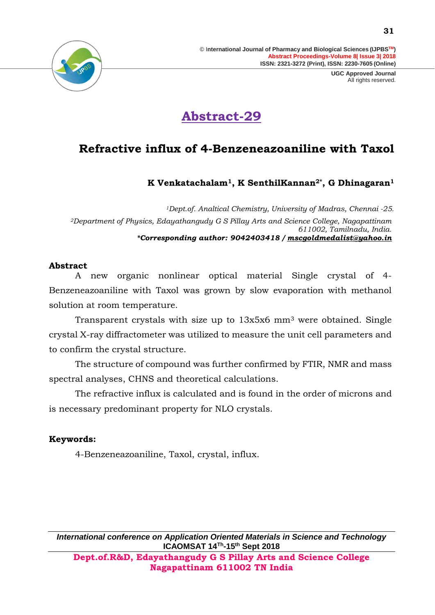

# **Abstract-29**

### **Refractive influx of 4-Benzeneazoaniline with Taxol**

**K Venkatachalam1, K SenthilKannan2\*, G Dhinagaran<sup>1</sup>**

*<sup>1</sup>Dept.of. Analtical Chemistry, University of Madras, Chennai -25. <sup>2</sup>Department of Physics, Edayathangudy G S Pillay Arts and Science College, Nagapattinam 611002, Tamilnadu, India. \*Corresponding author: 9042403418 / [mscgoldmedalist@yahoo.in](mailto:mscgoldmedalist@yahoo.in)*

### **Abstract**

A new organic nonlinear optical material Single crystal of 4- Benzeneazoaniline with Taxol was grown by slow evaporation with methanol solution at room temperature.

Transparent crystals with size up to 13x5x6 mm<sup>3</sup> were obtained. Single crystal X-ray diffractometer was utilized to measure the unit cell parameters and to confirm the crystal structure.

The structure of compound was further confirmed by FTIR, NMR and mass spectral analyses, CHNS and theoretical calculations.

The refractive influx is calculated and is found in the order of microns and is necessary predominant property for NLO crystals.

### **Keywords:**

4-Benzeneazoaniline, Taxol, crystal, influx.

*International conference on Application Oriented Materials in Science and Technology* **ICAOMSAT 14Th -15th Sept 2018 Dept.of.R&D, Edayathangudy G S Pillay Arts and Science College** 

**Nagapattinam 611002 TN India**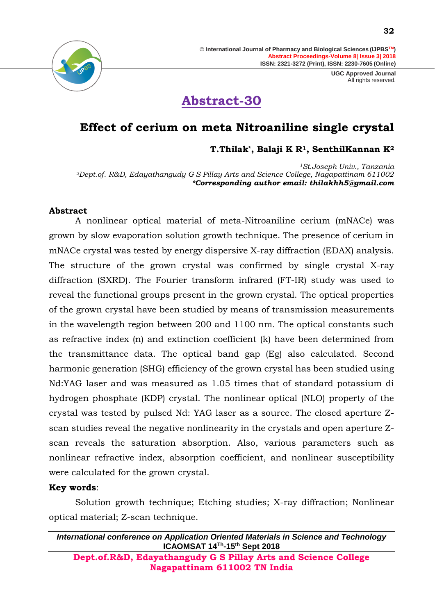> **UGC Approved Journal** All rights reserved.

# **Abstract-30**

### **Effect of cerium on meta Nitroaniline single crystal**

**T.Thilak\*, Balaji K R1, SenthilKannan K<sup>2</sup>**

*<sup>1</sup>St.Joseph Univ., Tanzania <sup>2</sup>Dept.of. R&D, Edayathangudy G S Pillay Arts and Science College, Nagapattinam 611002 \*Corresponding author email: thilakhh5@gmail.com*

### **Abstract**

A nonlinear optical material of meta-Nitroaniline cerium (mNACe) was grown by slow evaporation solution growth technique. The presence of cerium in mNACe crystal was tested by energy dispersive X-ray diffraction (EDAX) analysis. The structure of the grown crystal was confirmed by single crystal X-ray diffraction (SXRD). The Fourier transform infrared (FT-IR) study was used to reveal the functional groups present in the grown crystal. The optical properties of the grown crystal have been studied by means of transmission measurements in the wavelength region between 200 and 1100 nm. The optical constants such as refractive index (n) and extinction coefficient (k) have been determined from the transmittance data. The optical band gap (Eg) also calculated. Second harmonic generation (SHG) efficiency of the grown crystal has been studied using Nd:YAG laser and was measured as 1.05 times that of standard potassium di hydrogen phosphate (KDP) crystal. The nonlinear optical (NLO) property of the crystal was tested by pulsed Nd: YAG laser as a source. The closed aperture Zscan studies reveal the negative nonlinearity in the crystals and open aperture Zscan reveals the saturation absorption. Also, various parameters such as nonlinear refractive index, absorption coefficient, and nonlinear susceptibility were calculated for the grown crystal.

### **Key words**:

Solution growth technique; Etching studies; X-ray diffraction; Nonlinear optical material; Z-scan technique.

**Nagapattinam 611002 TN India**

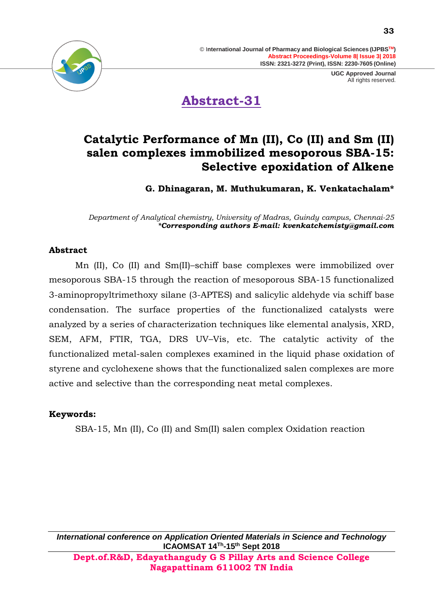

**Abstract-31**

### **Catalytic Performance of Mn (II), Co (II) and Sm (II) salen complexes immobilized mesoporous SBA-15: Selective epoxidation of Alkene**

**G. Dhinagaran, M. Muthukumaran, K. Venkatachalam\***

*Department of Analytical chemistry, University of Madras, Guindy campus, Chennai-25 \*Corresponding authors E-mail: kvenkatchemisty@gmail.com*

#### **Abstract**

Mn (II), Co (II) and Sm(II)–schiff base complexes were immobilized over mesoporous SBA-15 through the reaction of mesoporous SBA-15 functionalized 3-aminopropyltrimethoxy silane (3-APTES) and salicylic aldehyde via schiff base condensation. The surface properties of the functionalized catalysts were analyzed by a series of characterization techniques like elemental analysis, XRD, SEM, AFM, FTIR, TGA, DRS UV–Vis, etc. The catalytic activity of the functionalized metal-salen complexes examined in the liquid phase oxidation of styrene and cyclohexene shows that the functionalized salen complexes are more active and selective than the corresponding neat metal complexes.

#### **Keywords:**

SBA-15, Mn (II), Co (II) and Sm(II) salen complex Oxidation reaction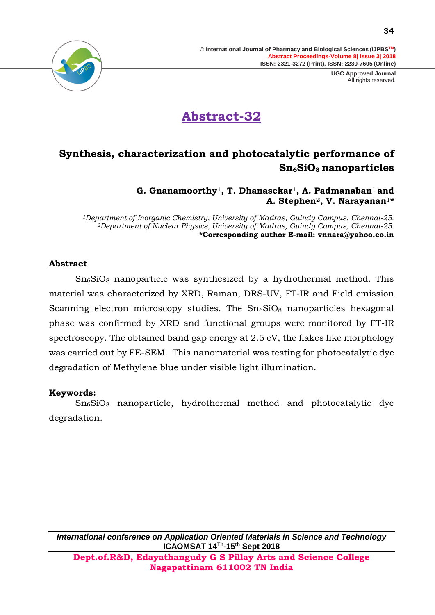> **UGC Approved Journal** All rights reserved.



# **Abstract-32**

### **Synthesis, characterization and photocatalytic performance of Sn6SiO8 nanoparticles**

**G. Gnanamoorthy**1**, T. Dhanasekar**1**, A. Padmanaban**1 **and A. Stephen2, V. Narayanan**1**\***

*<sup>1</sup>Department of Inorganic Chemistry, University of Madras, Guindy Campus, Chennai-25. <sup>2</sup>Department of Nuclear Physics, University of Madras, Guindy Campus, Chennai-25.* **\*Corresponding author E-mail: vnnara@yahoo.co.in**

#### **Abstract**

 $Sn<sub>6</sub>SiO<sub>8</sub>$  nanoparticle was synthesized by a hydrothermal method. This material was characterized by XRD, Raman, DRS-UV, FT-IR and Field emission Scanning electron microscopy studies. The  $Sn<sub>6</sub>SiO<sub>8</sub>$  nanoparticles hexagonal phase was confirmed by XRD and functional groups were monitored by FT-IR spectroscopy. The obtained band gap energy at 2.5 eV, the flakes like morphology was carried out by FE-SEM. This nanomaterial was testing for photocatalytic dye degradation of Methylene blue under visible light illumination.

### **Keywords:**

Sn6SiO<sup>8</sup> nanoparticle, hydrothermal method and photocatalytic dye degradation.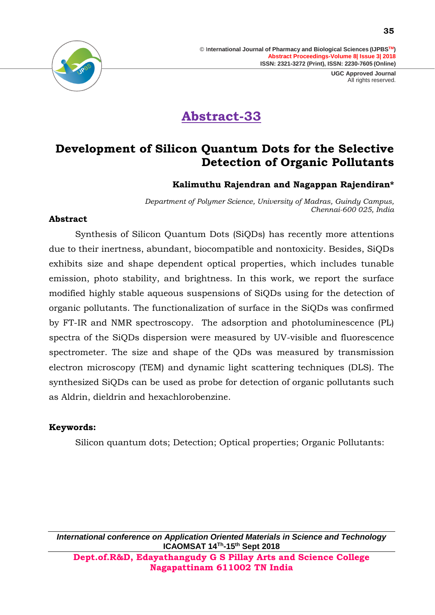> **UGC Approved Journal** All rights reserved.



# **Abstract-33**

### **Development of Silicon Quantum Dots for the Selective Detection of Organic Pollutants**

### **Kalimuthu Rajendran and Nagappan Rajendiran\***

*Department of Polymer Science, University of Madras, Guindy Campus, Chennai-600 025, India*

### **Abstract**

Synthesis of Silicon Quantum Dots (SiQDs) has recently more attentions due to their inertness, abundant, biocompatible and nontoxicity. Besides, SiQDs exhibits size and shape dependent optical properties, which includes tunable emission, photo stability, and brightness. In this work, we report the surface modified highly stable aqueous suspensions of SiQDs using for the detection of organic pollutants. The functionalization of surface in the SiQDs was confirmed by FT-IR and NMR spectroscopy. The adsorption and photoluminescence (PL) spectra of the SiQDs dispersion were measured by UV-visible and fluorescence spectrometer. The size and shape of the QDs was measured by transmission electron microscopy (TEM) and dynamic light scattering techniques (DLS). The synthesized SiQDs can be used as probe for detection of organic pollutants such as Aldrin, dieldrin and hexachlorobenzine.

### **Keywords:**

Silicon quantum dots; Detection; Optical properties; Organic Pollutants: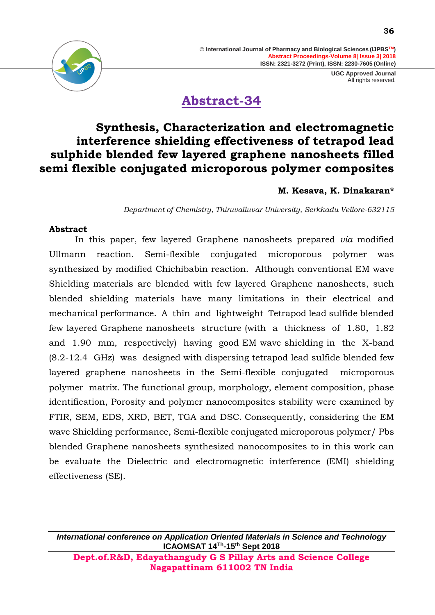

### **Abstract-34**

### **Synthesis, Characterization and electromagnetic interference shielding effectiveness of tetrapod lead sulphide blended few layered graphene nanosheets filled semi flexible conjugated microporous polymer composites**

### **M. Kesava, K. Dinakaran\***

*Department of Chemistry, Thiruvalluvar University, Serkkadu Vellore-632115* 

### **Abstract**

In this paper, few layered Graphene nanosheets prepared *via* modified Ullmann reaction. Semi-flexible conjugated microporous polymer was synthesized by modified Chichibabin reaction. Although conventional EM wave Shielding materials are blended with few layered Graphene nanosheets, such blended shielding materials have many limitations in their electrical and mechanical performance. A thin and lightweight Tetrapod lead sulfide blended few layered Graphene nanosheets structure (with a thickness of 1.80, 1.82 and 1.90 mm, respectively) having good EM wave shielding in the X-band (8.2-12.4 GHz) was designed with dispersing tetrapod lead sulfide blended few layered graphene nanosheets in the Semi-flexible conjugated microporous polymer matrix. The functional group, morphology, element composition, phase identification, Porosity and polymer nanocomposites stability were examined by FTIR, SEM, EDS, XRD, BET, TGA and DSC. Consequently, considering the EM wave Shielding performance, Semi-flexible conjugated microporous polymer/ Pbs blended Graphene nanosheets synthesized nanocomposites to in this work can be evaluate the Dielectric and electromagnetic interference (EMI) shielding effectiveness (SE).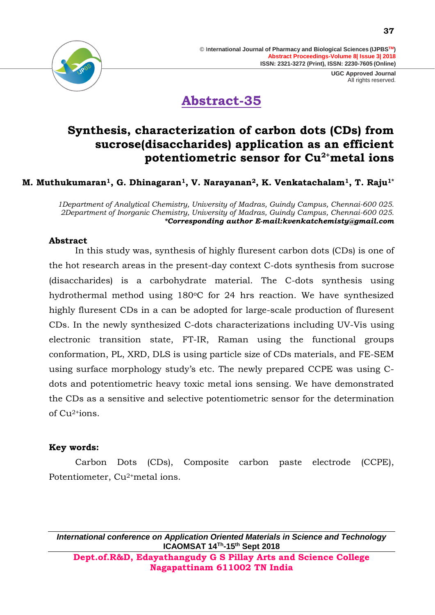



**Abstract-35**

### **Synthesis, characterization of carbon dots (CDs) from sucrose(disaccharides) application as an efficient potentiometric sensor for Cu2+metal ions**

### **M. Muthukumaran1, G. Dhinagaran1, V. Narayanan2, K. Venkatachalam1, T. Raju1\***

*1Department of Analytical Chemistry, University of Madras, Guindy Campus, Chennai-600 025. 2Department of Inorganic Chemistry, University of Madras, Guindy Campus, Chennai-600 025. \*Corresponding author E-mail:kvenkatchemisty@gmail.com*

#### **Abstract**

In this study was, synthesis of highly fluresent carbon dots (CDs) is one of the hot research areas in the present-day context C-dots synthesis from sucrose (disaccharides) is a carbohydrate material. The C-dots synthesis using hydrothermal method using 180°C for 24 hrs reaction. We have synthesized highly fluresent CDs in a can be adopted for large-scale production of fluresent CDs. In the newly synthesized C-dots characterizations including UV-Vis using electronic transition state, FT-IR, Raman using the functional groups conformation, PL, XRD, DLS is using particle size of CDs materials, and FE-SEM using surface morphology study's etc. The newly prepared CCPE was using Cdots and potentiometric heavy toxic metal ions sensing. We have demonstrated the CDs as a sensitive and selective potentiometric sensor for the determination of  $Cu<sup>2+i</sup>ons$ .

#### **Key words:**

Carbon Dots (CDs), Composite carbon paste electrode (CCPE), Potentiometer, Cu<sup>2+</sup>metal ions.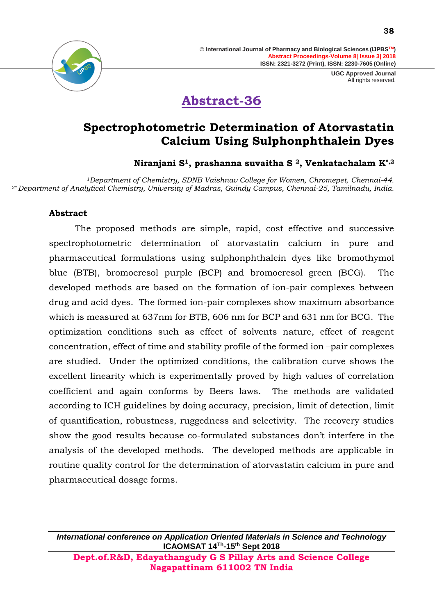

# **Abstract-36**

### **Spectrophotometric Determination of Atorvastatin Calcium Using Sulphonphthalein Dyes**

**Niranjani S1, prashanna suvaitha S <sup>2</sup>, Venkatachalam K\*,2**

*<sup>1</sup>Department of Chemistry, SDNB Vaishnav College for Women, Chromepet, Chennai-44. 2\* Department of Analytical Chemistry, University of Madras, Guindy Campus, Chennai-25, Tamilnadu, India.*

### **Abstract**

The proposed methods are simple, rapid, cost effective and successive spectrophotometric determination of atorvastatin calcium in pure and pharmaceutical formulations using sulphonphthalein dyes like bromothymol blue (BTB), bromocresol purple (BCP) and bromocresol green (BCG). The developed methods are based on the formation of ion-pair complexes between drug and acid dyes. The formed ion-pair complexes show maximum absorbance which is measured at 637nm for BTB, 606 nm for BCP and 631 nm for BCG. The optimization conditions such as effect of solvents nature, effect of reagent concentration, effect of time and stability profile of the formed ion –pair complexes are studied. Under the optimized conditions, the calibration curve shows the excellent linearity which is experimentally proved by high values of correlation coefficient and again conforms by Beers laws. The methods are validated according to ICH guidelines by doing accuracy, precision, limit of detection, limit of quantification, robustness, ruggedness and selectivity. The recovery studies show the good results because co-formulated substances don't interfere in the analysis of the developed methods. The developed methods are applicable in routine quality control for the determination of atorvastatin calcium in pure and pharmaceutical dosage forms.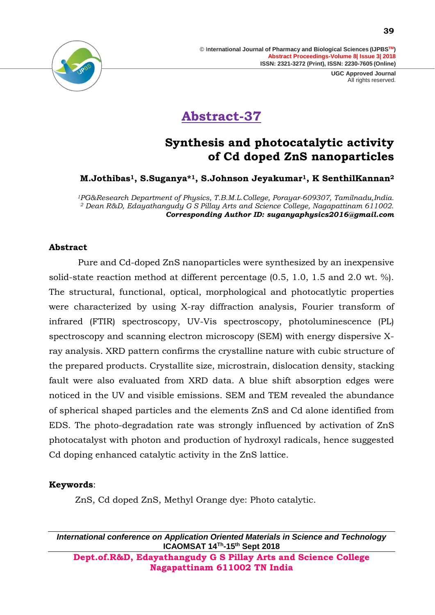

# **Abstract-37**

### **Synthesis and photocatalytic activity of Cd doped ZnS nanoparticles**

**M.Jothibas1, S.Suganya\*1, S.Johnson Jeyakumar1, K SenthilKannan<sup>2</sup>**

*<sup>1</sup>PG&Research Department of Physics, T.B.M.L.College, Porayar-609307, Tamilnadu,India. <sup>2</sup> Dean R&D, Edayathangudy G S Pillay Arts and Science College, Nagapattinam 611002. Corresponding Author ID: [suganyaphysics2016@gmail.com](mailto:suganyaphysics2016@gmail.com)*

### **Abstract**

Pure and Cd-doped ZnS nanoparticles were synthesized by an inexpensive solid-state reaction method at different percentage (0.5, 1.0, 1.5 and 2.0 wt. %). The structural, functional, optical, morphological and photocatlytic properties were characterized by using X-ray diffraction analysis, Fourier transform of infrared (FTIR) spectroscopy, UV-Vis spectroscopy, photoluminescence (PL) spectroscopy and scanning electron microscopy (SEM) with energy dispersive Xray analysis. XRD pattern confirms the crystalline nature with cubic structure of the prepared products. Crystallite size, microstrain, dislocation density, stacking fault were also evaluated from XRD data. A blue shift absorption edges were noticed in the UV and visible emissions. SEM and TEM revealed the abundance of spherical shaped particles and the elements ZnS and Cd alone identified from EDS. The photo-degradation rate was strongly influenced by activation of ZnS photocatalyst with photon and production of hydroxyl radicals, hence suggested Cd doping enhanced catalytic activity in the ZnS lattice.

### **Keywords**:

ZnS, Cd doped ZnS, Methyl Orange dye: Photo catalytic.

*International conference on Application Oriented Materials in Science and Technology* **ICAOMSAT 14Th -15th Sept 2018**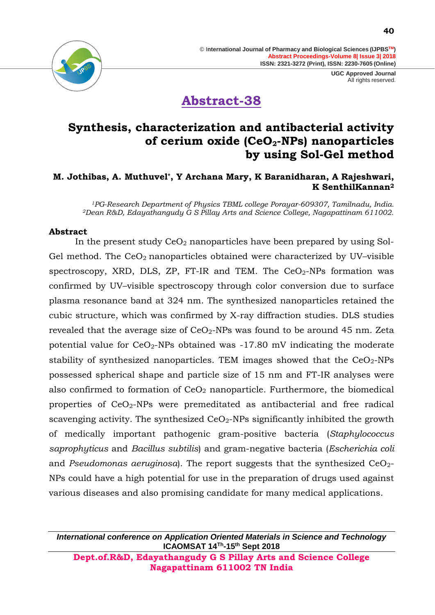



**Abstract-38**

### **Synthesis, characterization and antibacterial activity of cerium oxide (CeO2-NPs) nanoparticles by using Sol-Gel method**

### **M. Jothibas, A. Muthuvel\*, Y Archana Mary, K Baranidharan, A Rajeshwari, K SenthilKannan<sup>2</sup>**

*<sup>1</sup>PG-Research Department of Physics TBML college Porayar-609307, Tamilnadu, India. <sup>2</sup>Dean R&D, Edayathangudy G S Pillay Arts and Science College, Nagapattinam 611002.*

#### **Abstract**

In the present study  $CeO<sub>2</sub>$  nanoparticles have been prepared by using Sol-Gel method. The  $CeO<sub>2</sub>$  nanoparticles obtained were characterized by UV–visible spectroscopy, XRD, DLS, ZP, FT-IR and TEM. The  $CeO<sub>2</sub>$ -NPs formation was confirmed by UV–visible spectroscopy through color conversion due to surface plasma resonance band at 324 nm. The synthesized nanoparticles retained the cubic structure, which was confirmed by X-ray diffraction studies. DLS studies revealed that the average size of  $CeO<sub>2</sub>$ -NPs was found to be around 45 nm. Zeta potential value for  $CeO<sub>2</sub>$ -NPs obtained was -17.80 mV indicating the moderate stability of synthesized nanoparticles. TEM images showed that the  $CeO<sub>2</sub>$ -NPs possessed spherical shape and particle size of 15 nm and FT-IR analyses were also confirmed to formation of  $CeO<sub>2</sub>$  nanoparticle. Furthermore, the biomedical properties of CeO2-NPs were premeditated as antibacterial and free radical scavenging activity. The synthesized  $CeO<sub>2</sub>$ -NPs significantly inhibited the growth of medically important pathogenic gram-positive bacteria (*Staphylococcus saprophyticus* and *Bacillus subtilis*) and gram-negative bacteria (*Escherichia coli*  and *Pseudomonas aeruginosa*). The report suggests that the synthesized CeO<sub>2</sub>-NPs could have a high potential for use in the preparation of drugs used against various diseases and also promising candidate for many medical applications.

*International conference on Application Oriented Materials in Science and Technology* **ICAOMSAT 14Th -15th Sept 2018**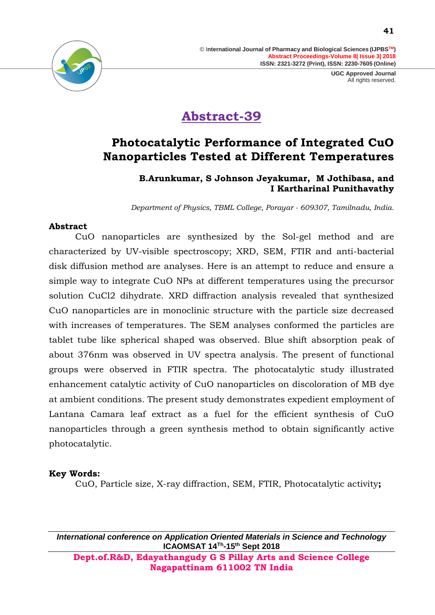

# **Abstract-39**

### **Photocatalytic Performance of Integrated CuO Nanoparticles Tested at Different Temperatures**

### **B.Arunkumar, S Johnson Jeyakumar, M Jothibasa, and I Kartharinal Punithavathy**

*Department of Physics, TBML College, Porayar - 609307, Tamilnadu, India.*

### **Abstract**

CuO nanoparticles are synthesized by the Sol-gel method and are characterized by UV-visible spectroscopy; XRD, SEM, FTIR and anti-bacterial disk diffusion method are analyses. Here is an attempt to reduce and ensure a simple way to integrate CuO NPs at different temperatures using the precursor solution CuCl2 dihydrate. XRD diffraction analysis revealed that synthesized CuO nanoparticles are in monoclinic structure with the particle size decreased with increases of temperatures. The SEM analyses conformed the particles are tablet tube like spherical shaped was observed. Blue shift absorption peak of about 376nm was observed in UV spectra analysis. The present of functional groups were observed in FTIR spectra. The photocatalytic study illustrated enhancement catalytic activity of CuO nanoparticles on discoloration of MB dye at ambient conditions. The present study demonstrates expedient employment of Lantana Camara leaf extract as a fuel for the efficient synthesis of CuO nanoparticles through a green synthesis method to obtain significantly active photocatalytic.

### **Key Words:**

CuO, Particle size, X-ray diffraction, SEM, FTIR, Photocatalytic activity**;**

*International conference on Application Oriented Materials in Science and Technology* **ICAOMSAT 14Th -15th Sept 2018**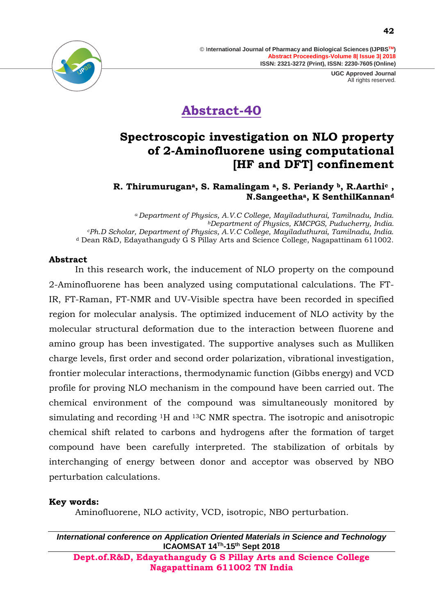> **UGC Approved Journal** All rights reserved.



# **Abstract-40**

### **Spectroscopic investigation on NLO property of 2-Aminofluorene using computational [HF and DFT] confinement**

### **R. Thirumurugana, S. Ramalingam a, S. Periandy b, R.Aarthi<sup>c</sup> , N.Sangeethaa, K SenthilKannan<sup>d</sup>**

*<sup>a</sup>Department of Physics, A.V.C College, Mayiladuthurai, Tamilnadu, India. <sup>b</sup>Department of Physics, KMCPGS, Puducherry, India. <sup>c</sup>Ph.D Scholar, Department of Physics, A.V.C College, Mayiladuthurai, Tamilnadu, India.* <sup>d</sup> Dean R&D, Edayathangudy G S Pillay Arts and Science College, Nagapattinam 611002.

#### **Abstract**

In this research work, the inducement of NLO property on the compound 2-Aminofluorene has been analyzed using computational calculations. The FT-IR, FT-Raman, FT-NMR and UV-Visible spectra have been recorded in specified region for molecular analysis. The optimized inducement of NLO activity by the molecular structural deformation due to the interaction between fluorene and amino group has been investigated. The supportive analyses such as Mulliken charge levels, first order and second order polarization, vibrational investigation, frontier molecular interactions, thermodynamic function (Gibbs energy) and VCD profile for proving NLO mechanism in the compound have been carried out. The chemical environment of the compound was simultaneously monitored by simulating and recording 1H and 13C NMR spectra. The isotropic and anisotropic chemical shift related to carbons and hydrogens after the formation of target compound have been carefully interpreted. The stabilization of orbitals by interchanging of energy between donor and acceptor was observed by NBO perturbation calculations.

#### **Key words:**

Aminofluorene, NLO activity, VCD, isotropic, NBO perturbation.

*International conference on Application Oriented Materials in Science and Technology* **ICAOMSAT 14Th -15th Sept 2018**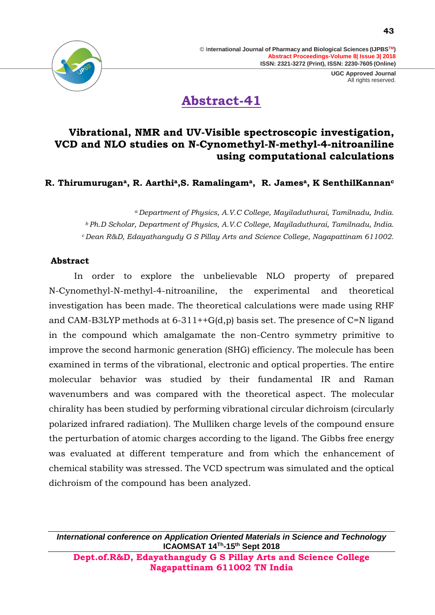

# **Abstract-41**

### **Vibrational, NMR and UV-Visible spectroscopic investigation, VCD and NLO studies on N-Cynomethyl-N-methyl-4-nitroaniline using computational calculations**

**R. Thirumurugana, R. Aarthia,S. Ramalingama, R. Jamesa, K SenthilKannan<sup>c</sup>**

*<sup>a</sup>Department of Physics, A.V.C College, Mayiladuthurai, Tamilnadu, India. <sup>b</sup>Ph.D Scholar, Department of Physics, A.V.C College, Mayiladuthurai, Tamilnadu, India. <sup>c</sup>Dean R&D, Edayathangudy G S Pillay Arts and Science College, Nagapattinam 611002.*

#### **Abstract**

 In order to explore the unbelievable NLO property of prepared N-Cynomethyl-N-methyl-4-nitroaniline, the experimental and theoretical investigation has been made. The theoretical calculations were made using RHF and CAM-B3LYP methods at  $6-311++G(d,p)$  basis set. The presence of C=N ligand in the compound which amalgamate the non-Centro symmetry primitive to improve the second harmonic generation (SHG) efficiency. The molecule has been examined in terms of the vibrational, electronic and optical properties. The entire molecular behavior was studied by their fundamental IR and Raman wavenumbers and was compared with the theoretical aspect. The molecular chirality has been studied by performing vibrational circular dichroism (circularly polarized infrared radiation). The Mulliken charge levels of the compound ensure the perturbation of atomic charges according to the ligand. The Gibbs free energy was evaluated at different temperature and from which the enhancement of chemical stability was stressed. The VCD spectrum was simulated and the optical dichroism of the compound has been analyzed.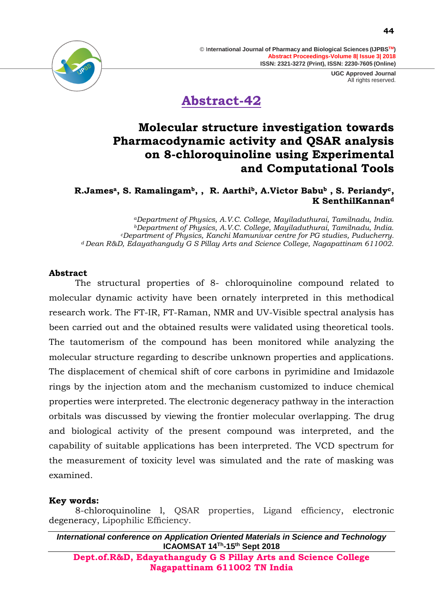> **UGC Approved Journal** All rights reserved.

### **Abstract-42**

### **Molecular structure investigation towards Pharmacodynamic activity and QSAR analysis on 8-chloroquinoline using Experimental and Computational Tools**

**R.Jamesa, S. Ramalingamb, , R. Aarthib, A.Victor Babu<sup>b</sup> , S. Periandyc, K SenthilKannan<sup>d</sup>**

*<sup>a</sup>Department of Physics, A.V.C. College, Mayiladuthurai, Tamilnadu, India. <sup>b</sup>Department of Physics, A.V.C. College, Mayiladuthurai, Tamilnadu, India. <sup>c</sup>Department of Physics, Kanchi Mamunivar centre for PG studies, Puducherry. <sup>d</sup>Dean R&D, Edayathangudy G S Pillay Arts and Science College, Nagapattinam 611002.*

### **Abstract**

The structural properties of 8- chloroquinoline compound related to molecular dynamic activity have been ornately interpreted in this methodical research work. The FT-IR, FT-Raman, NMR and UV-Visible spectral analysis has been carried out and the obtained results were validated using theoretical tools. The tautomerism of the compound has been monitored while analyzing the molecular structure regarding to describe unknown properties and applications. The displacement of chemical shift of core carbons in pyrimidine and Imidazole rings by the injection atom and the mechanism customized to induce chemical properties were interpreted. The electronic degeneracy pathway in the interaction orbitals was discussed by viewing the frontier molecular overlapping. The drug and biological activity of the present compound was interpreted, and the capability of suitable applications has been interpreted. The VCD spectrum for the measurement of toxicity level was simulated and the rate of masking was examined.

### **Key words:**

8-chloroquinoline l, QSAR properties, Ligand efficiency, electronic degeneracy, Lipophilic Efficiency.

*International conference on Application Oriented Materials in Science and Technology* **ICAOMSAT 14Th -15th Sept 2018**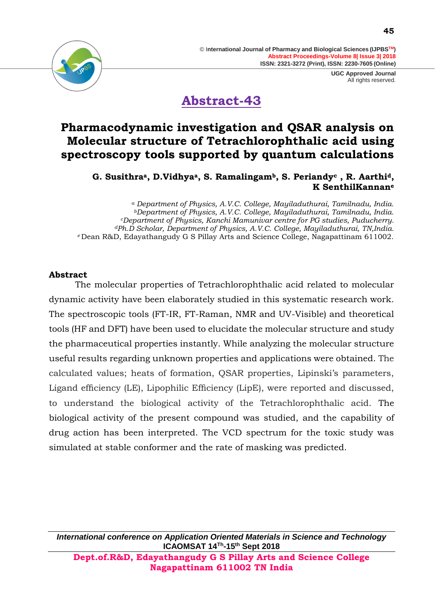





**Abstract-43**

### **Pharmacodynamic investigation and QSAR analysis on Molecular structure of Tetrachlorophthalic acid using spectroscopy tools supported by quantum calculations**

**G. Susithraa, D.Vidhyaa, S. Ramalingamb, S. Periandy<sup>c</sup> , R. Aarthid, K SenthilKannan<sup>e</sup>**

*<sup>a</sup> Department of Physics, A.V.C. College, Mayiladuthurai, Tamilnadu, India. <sup>b</sup>Department of Physics, A.V.C. College, Mayiladuthurai, Tamilnadu, India. <sup>c</sup>Department of Physics, Kanchi Mamunivar centre for PG studies, Puducherry. <sup>d</sup>Ph.D Scholar, Department of Physics, A.V.C. College, Mayiladuthurai, TN,India. <sup>e</sup>*Dean R&D, Edayathangudy G S Pillay Arts and Science College, Nagapattinam 611002.

### **Abstract**

The molecular properties of Tetrachlorophthalic acid related to molecular dynamic activity have been elaborately studied in this systematic research work. The spectroscopic tools (FT-IR, FT-Raman, NMR and UV-Visible) and theoretical tools (HF and DFT) have been used to elucidate the molecular structure and study the pharmaceutical properties instantly. While analyzing the molecular structure useful results regarding unknown properties and applications were obtained. The calculated values; heats of formation, QSAR properties, Lipinski's parameters, Ligand efficiency (LE), Lipophilic Efficiency (LipE), were reported and discussed, to understand the biological activity of the Tetrachlorophthalic acid. The biological activity of the present compound was studied, and the capability of drug action has been interpreted. The VCD spectrum for the toxic study was simulated at stable conformer and the rate of masking was predicted.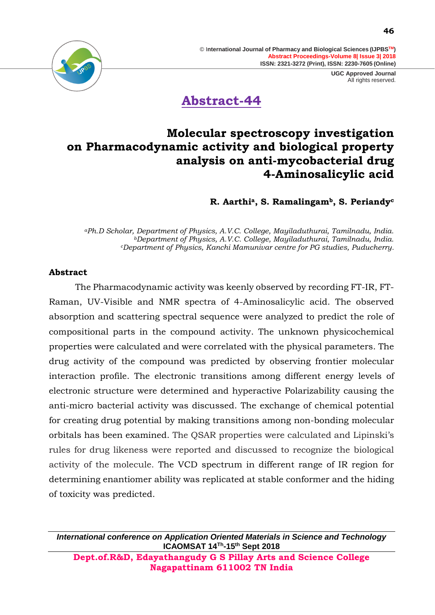> **UGC Approved Journal** All rights reserved.



**Abstract-44**

### **Molecular spectroscopy investigation on Pharmacodynamic activity and biological property analysis on anti-mycobacterial drug 4-Aminosalicylic acid**

**R. Aarthia, S. Ramalingamb, S. Periandy<sup>c</sup>**

*<sup>a</sup>Ph.D Scholar, Department of Physics, A.V.C. College, Mayiladuthurai, Tamilnadu, India. <sup>b</sup>Department of Physics, A.V.C. College, Mayiladuthurai, Tamilnadu, India. <sup>c</sup>Department of Physics, Kanchi Mamunivar centre for PG studies, Puducherry.*

#### **Abstract**

The Pharmacodynamic activity was keenly observed by recording FT-IR, FT-Raman, UV-Visible and NMR spectra of 4-Aminosalicylic acid. The observed absorption and scattering spectral sequence were analyzed to predict the role of compositional parts in the compound activity. The unknown physicochemical properties were calculated and were correlated with the physical parameters. The drug activity of the compound was predicted by observing frontier molecular interaction profile. The electronic transitions among different energy levels of electronic structure were determined and hyperactive Polarizability causing the anti-micro bacterial activity was discussed. The exchange of chemical potential for creating drug potential by making transitions among non-bonding molecular orbitals has been examined. The QSAR properties were calculated and Lipinski's rules for drug likeness were reported and discussed to recognize the biological activity of the molecule. The VCD spectrum in different range of IR region for determining enantiomer ability was replicated at stable conformer and the hiding of toxicity was predicted.

*International conference on Application Oriented Materials in Science and Technology* **ICAOMSAT 14Th -15th Sept 2018**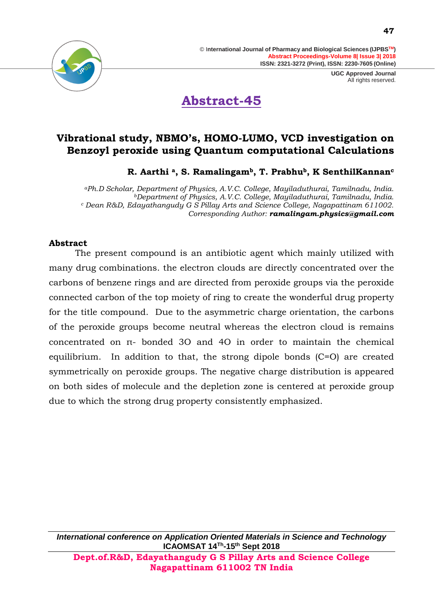



### **Vibrational study, NBMO's, HOMO-LUMO, VCD investigation on Benzoyl peroxide using Quantum computational Calculations**

**R. Aarthi a, S. Ramalingamb, T. Prabhub, K SenthilKannan<sup>c</sup>**

*<sup>a</sup>Ph.D Scholar, Department of Physics, A.V.C. College, Mayiladuthurai, Tamilnadu, India. <sup>b</sup>Department of Physics, A.V.C. College, Mayiladuthurai, Tamilnadu, India. <sup>c</sup> Dean R&D, Edayathangudy G S Pillay Arts and Science College, Nagapattinam 611002. Corresponding Author: [ramalingam.physics@gmail.com](mailto:ramalingam.physics@gmail.com)*

### **Abstract**

The present compound is an antibiotic agent which mainly utilized with many drug combinations. the electron clouds are directly concentrated over the carbons of benzene rings and are directed from peroxide groups via the peroxide connected carbon of the top moiety of ring to create the wonderful drug property for the title compound. Due to the asymmetric charge orientation, the carbons of the peroxide groups become neutral whereas the electron cloud is remains concentrated on π- bonded 3O and 4O in order to maintain the chemical equilibrium. In addition to that, the strong dipole bonds (C=O) are created symmetrically on peroxide groups. The negative charge distribution is appeared on both sides of molecule and the depletion zone is centered at peroxide group due to which the strong drug property consistently emphasized.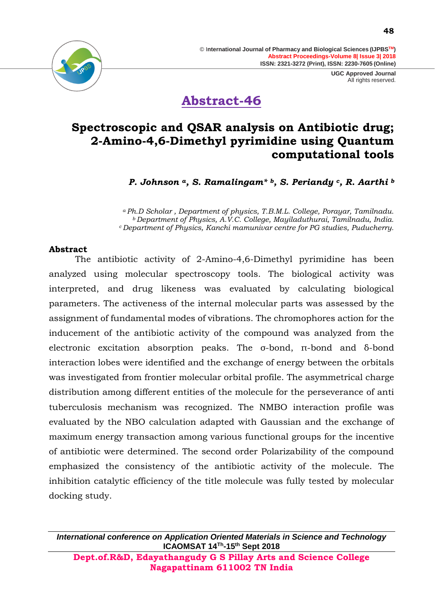

**Abstract-46**

### **Spectroscopic and QSAR analysis on Antibiotic drug; 2-Amino-4,6-Dimethyl pyrimidine using Quantum computational tools**

*P. Johnson a, S. Ramalingam\* b, S. Periandy c, R. Aarthi <sup>b</sup>*

*<sup>a</sup>Ph.D Scholar , Department of physics, T.B.M.L. College, Porayar, Tamilnadu. <sup>b</sup>Department of Physics, A.V.C. College, Mayiladuthurai, Tamilnadu, India. <sup>c</sup>Department of Physics, Kanchi mamunivar centre for PG studies, Puducherry.*

#### **Abstract**

The antibiotic activity of 2-Amino-4,6-Dimethyl pyrimidine has been analyzed using molecular spectroscopy tools. The biological activity was interpreted, and drug likeness was evaluated by calculating biological parameters. The activeness of the internal molecular parts was assessed by the assignment of fundamental modes of vibrations. The chromophores action for the inducement of the antibiotic activity of the compound was analyzed from the electronic excitation absorption peaks. The σ-bond, π-bond and δ-bond interaction lobes were identified and the exchange of energy between the orbitals was investigated from frontier molecular orbital profile. The asymmetrical charge distribution among different entities of the molecule for the perseverance of anti tuberculosis mechanism was recognized. The NMBO interaction profile was evaluated by the NBO calculation adapted with Gaussian and the exchange of maximum energy transaction among various functional groups for the incentive of antibiotic were determined. The second order Polarizability of the compound emphasized the consistency of the antibiotic activity of the molecule. The inhibition catalytic efficiency of the title molecule was fully tested by molecular docking study.

*International conference on Application Oriented Materials in Science and Technology* **ICAOMSAT 14Th -15th Sept 2018**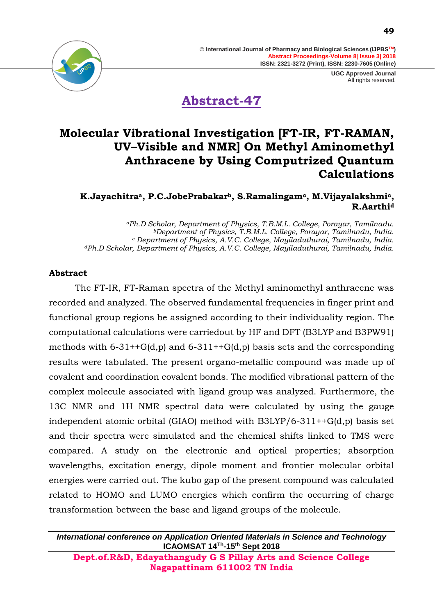

### **Molecular Vibrational Investigation [FT-IR, FT-RAMAN, UV–Visible and NMR] On Methyl Aminomethyl Anthracene by Using Computrized Quantum Calculations**

### **K.Jayachitraa, P.C.JobePrabakarb, S.Ramalingamc, M.Vijayalakshmic, R.Aarthi<sup>d</sup>**

*<sup>a</sup>Ph.D Scholar, Department of Physics, T.B.M.L. College, Porayar, Tamilnadu. <sup>b</sup>Department of Physics, T.B.M.L. College, Porayar, Tamilnadu, India. <sup>c</sup> Department of Physics, A.V.C. College, Mayiladuthurai, Tamilnadu, India. <sup>d</sup>Ph.D Scholar, Department of Physics, A.V.C. College, Mayiladuthurai, Tamilnadu, India.*

### **Abstract**

The FT-IR, FT-Raman spectra of the Methyl aminomethyl anthracene was recorded and analyzed. The observed fundamental frequencies in finger print and functional group regions be assigned according to their individuality region. The computational calculations were carriedout by HF and DFT (B3LYP and B3PW91) methods with  $6-31++G(d,p)$  and  $6-311++G(d,p)$  basis sets and the corresponding results were tabulated. The present organo-metallic compound was made up of covalent and coordination covalent bonds. The modified vibrational pattern of the complex molecule associated with ligand group was analyzed. Furthermore, the 13C NMR and 1H NMR spectral data were calculated by using the gauge independent atomic orbital (GIAO) method with B3LYP/6-311++G(d,p) basis set and their spectra were simulated and the chemical shifts linked to TMS were compared. A study on the electronic and optical properties; absorption wavelengths, excitation energy, dipole moment and frontier molecular orbital energies were carried out. The kubo gap of the present compound was calculated related to HOMO and LUMO energies which confirm the occurring of charge transformation between the base and ligand groups of the molecule.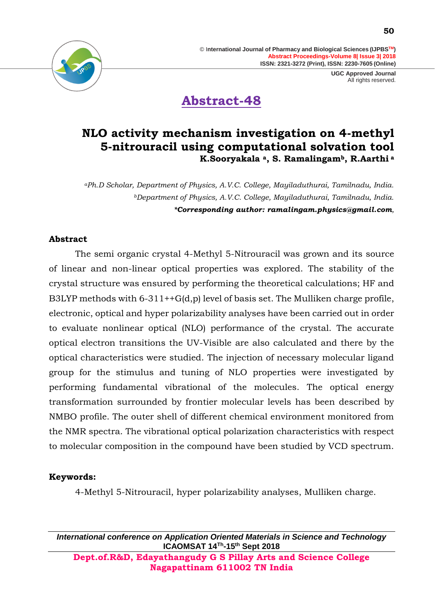

**Abstract-48**

### **NLO activity mechanism investigation on 4-methyl 5-nitrouracil using computational solvation tool K.Sooryakala a, S. Ramalingamb, R.Aarthi <sup>a</sup>**

*<sup>a</sup>Ph.D Scholar, Department of Physics, A.V.C. College, Mayiladuthurai, Tamilnadu, India. <sup>b</sup>Department of Physics, A.V.C. College, Mayiladuthurai, Tamilnadu, India. \*Corresponding author: [ramalingam.physics@gmail.com](mailto:ramalingam.physics@gmail.com),* 

#### **Abstract**

The semi organic crystal 4-Methyl 5-Nitrouracil was grown and its source of linear and non-linear optical properties was explored. The stability of the crystal structure was ensured by performing the theoretical calculations; HF and B3LYP methods with  $6-311++G(d,p)$  level of basis set. The Mulliken charge profile, electronic, optical and hyper polarizability analyses have been carried out in order to evaluate nonlinear optical (NLO) performance of the crystal. The accurate optical electron transitions the UV-Visible are also calculated and there by the optical characteristics were studied. The injection of necessary molecular ligand group for the stimulus and tuning of NLO properties were investigated by performing fundamental vibrational of the molecules. The optical energy transformation surrounded by frontier molecular levels has been described by NMBO profile. The outer shell of different chemical environment monitored from the NMR spectra. The vibrational optical polarization characteristics with respect to molecular composition in the compound have been studied by VCD spectrum.

### **Keywords:**

4-Methyl 5-Nitrouracil, hyper polarizability analyses, Mulliken charge.

*International conference on Application Oriented Materials in Science and Technology* **ICAOMSAT 14Th -15th Sept 2018**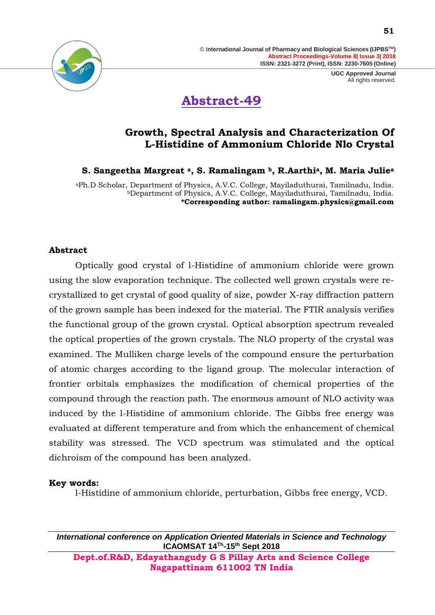



### **Growth, Spectral Analysis and Characterization Of L-Histidine of Ammonium Chloride Nlo Crystal**

**S. Sangeetha Margreat a, S. Ramalingam b, R.Aarthia, M. Maria Julie<sup>a</sup>**

<sup>a</sup>Ph.D Scholar, Department of Physics, A.V.C. College, Mayiladuthurai, Tamilnadu, India. <sup>b</sup>Department of Physics, A.V.C. College, Mayiladuthurai, Tamilnadu, India. **\*Corresponding author: [ramalingam.physics@gmail.com](mailto:ramalingam.physics@gmail.com)**

#### **Abstract**

Optically good crystal of l-Histidine of ammonium chloride were grown using the slow evaporation technique. The collected well grown crystals were recrystallized to get crystal of good quality of size, powder X-ray diffraction pattern of the grown sample has been indexed for the material. The FTIR analysis verifies the functional group of the grown crystal. Optical absorption spectrum revealed the optical properties of the grown crystals. The NLO property of the crystal was examined. The Mulliken charge levels of the compound ensure the perturbation of atomic charges according to the ligand group. The molecular interaction of frontier orbitals emphasizes the modification of chemical properties of the compound through the reaction path. The enormous amount of NLO activity was induced by the l-Histidine of ammonium chloride. The Gibbs free energy was evaluated at different temperature and from which the enhancement of chemical stability was stressed. The VCD spectrum was stimulated and the optical dichroism of the compound has been analyzed.

#### **Key words:**

l-Histidine of ammonium chloride, perturbation, Gibbs free energy, VCD.

*International conference on Application Oriented Materials in Science and Technology* **ICAOMSAT 14Th -15th Sept 2018**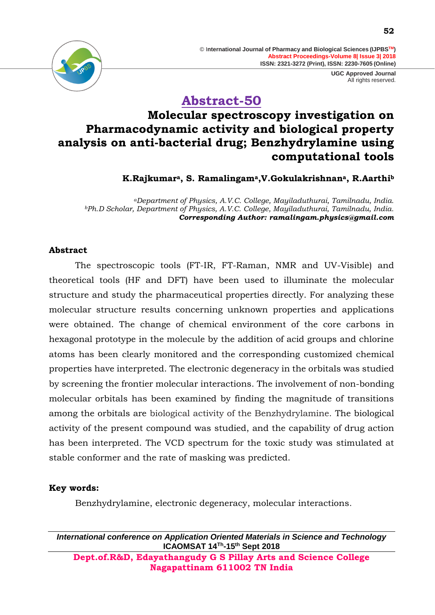

### **Abstract-50**

### **Molecular spectroscopy investigation on Pharmacodynamic activity and biological property analysis on anti-bacterial drug; Benzhydrylamine using computational tools**

**K.Rajkumara, S. Ramalingama,V.Gokulakrishnana, R.Aarthi<sup>b</sup>**

*<sup>a</sup>Department of Physics, A.V.C. College, Mayiladuthurai, Tamilnadu, India. <sup>b</sup>Ph.D Scholar, Department of Physics, A.V.C. College, Mayiladuthurai, Tamilnadu, India. Corresponding Author: [ramalingam.physics@gmail.com](mailto:ramalingam.physics@gmail.com)*

### **Abstract**

The spectroscopic tools (FT-IR, FT-Raman, NMR and UV-Visible) and theoretical tools (HF and DFT) have been used to illuminate the molecular structure and study the pharmaceutical properties directly. For analyzing these molecular structure results concerning unknown properties and applications were obtained. The change of chemical environment of the core carbons in hexagonal prototype in the molecule by the addition of acid groups and chlorine atoms has been clearly monitored and the corresponding customized chemical properties have interpreted. The electronic degeneracy in the orbitals was studied by screening the frontier molecular interactions. The involvement of non-bonding molecular orbitals has been examined by finding the magnitude of transitions among the orbitals are biological activity of the Benzhydrylamine. The biological activity of the present compound was studied, and the capability of drug action has been interpreted. The VCD spectrum for the toxic study was stimulated at stable conformer and the rate of masking was predicted.

### **Key words:**

Benzhydrylamine, electronic degeneracy, molecular interactions.

*International conference on Application Oriented Materials in Science and Technology* **ICAOMSAT 14Th -15th Sept 2018**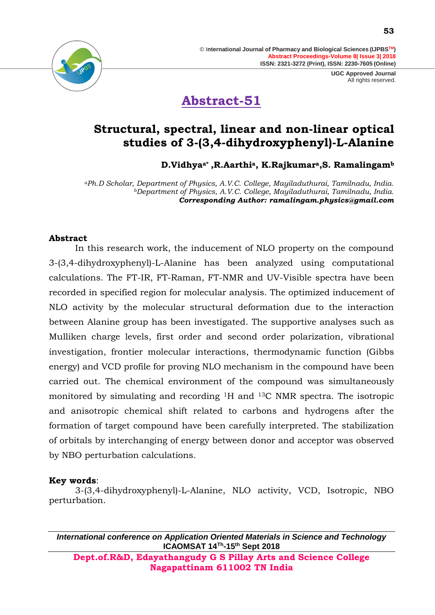

# **Abstract-51**

### **Structural, spectral, linear and non-linear optical studies of 3-(3,4-dihydroxyphenyl)-L-Alanine**

**D.Vidhyaa\* ,R.Aarthia, K.Rajkumara,S. Ramalingam<sup>b</sup>**

*<sup>a</sup>Ph.D Scholar, Department of Physics, A.V.C. College, Mayiladuthurai, Tamilnadu, India. <sup>b</sup>Department of Physics, A.V.C. College, Mayiladuthurai, Tamilnadu, India. Corresponding Author: [ramalingam.physics@gmail.com](mailto:ramalingam.physics@gmail.com)*

### **Abstract**

In this research work, the inducement of NLO property on the compound 3-(3,4-dihydroxyphenyl)-L-Alanine has been analyzed using computational calculations. The FT-IR, FT-Raman, FT-NMR and UV-Visible spectra have been recorded in specified region for molecular analysis. The optimized inducement of NLO activity by the molecular structural deformation due to the interaction between Alanine group has been investigated. The supportive analyses such as Mulliken charge levels, first order and second order polarization, vibrational investigation, frontier molecular interactions, thermodynamic function (Gibbs energy) and VCD profile for proving NLO mechanism in the compound have been carried out. The chemical environment of the compound was simultaneously monitored by simulating and recording 1H and 13C NMR spectra. The isotropic and anisotropic chemical shift related to carbons and hydrogens after the formation of target compound have been carefully interpreted. The stabilization of orbitals by interchanging of energy between donor and acceptor was observed by NBO perturbation calculations.

### **Key words**:

3-(3,4-dihydroxyphenyl)-L-Alanine, NLO activity, VCD, Isotropic, NBO perturbation.

*International conference on Application Oriented Materials in Science and Technology* **ICAOMSAT 14Th -15th Sept 2018**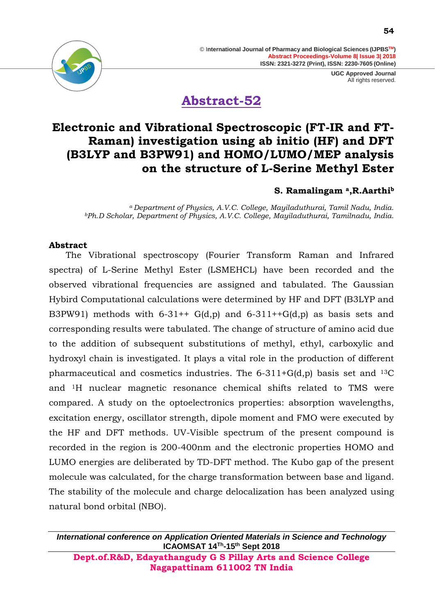> **UGC Approved Journal** All rights reserved.



**Abstract-52**

### **Electronic and Vibrational Spectroscopic (FT-IR and FT-Raman) investigation using ab initio (HF) and DFT (B3LYP and B3PW91) and HOMO/LUMO/MEP analysis on the structure of L-Serine Methyl Ester**

### **S. Ramalingam a,R.Aarthi<sup>b</sup>**

*<sup>a</sup>Department of Physics, A.V.C. College, Mayiladuthurai, Tamil Nadu, India. <sup>b</sup>Ph.D Scholar, Department of Physics, A.V.C. College, Mayiladuthurai, Tamilnadu, India.*

#### **Abstract**

 The Vibrational spectroscopy (Fourier Transform Raman and Infrared spectra) of L-Serine Methyl Ester (LSMEHCL) have been recorded and the observed vibrational frequencies are assigned and tabulated. The Gaussian Hybird Computational calculations were determined by HF and DFT (B3LYP and B3PW91) methods with  $6-31++ G(d,p)$  and  $6-311++G(d,p)$  as basis sets and corresponding results were tabulated. The change of structure of amino acid due to the addition of subsequent substitutions of methyl, ethyl, carboxylic and hydroxyl chain is investigated. It plays a vital role in the production of different pharmaceutical and cosmetics industries. The  $6-311+G(d,p)$  basis set and  $^{13}C$ and 1H nuclear magnetic resonance chemical shifts related to TMS were compared. A study on the optoelectronics properties: absorption wavelengths, excitation energy, oscillator strength, dipole moment and FMO were executed by the HF and DFT methods. UV-Visible spectrum of the present compound is recorded in the region is 200-400nm and the electronic properties HOMO and LUMO energies are deliberated by TD-DFT method. The Kubo gap of the present molecule was calculated, for the charge transformation between base and ligand. The stability of the molecule and charge delocalization has been analyzed using natural bond orbital (NBO).

*International conference on Application Oriented Materials in Science and Technology* **ICAOMSAT 14Th -15th Sept 2018**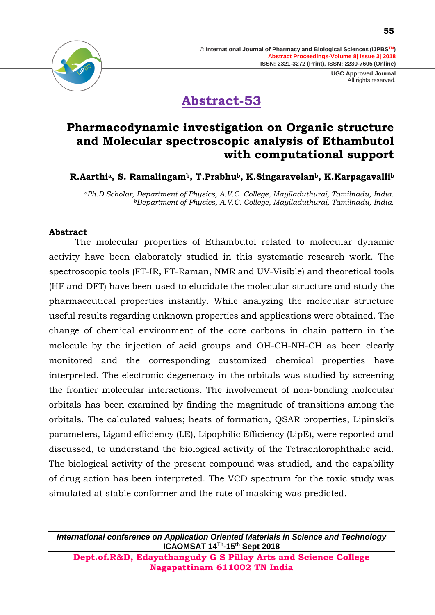

## **Abstract-53**

### **Pharmacodynamic investigation on Organic structure and Molecular spectroscopic analysis of Ethambutol with computational support**

**R.Aarthia, S. Ramalingamb, T.Prabhub, K.Singaravelanb, K.Karpagavalli<sup>b</sup>**

*<sup>a</sup>Ph.D Scholar, Department of Physics, A.V.C. College, Mayiladuthurai, Tamilnadu, India. <sup>b</sup>Department of Physics, A.V.C. College, Mayiladuthurai, Tamilnadu, India.*

### **Abstract**

The molecular properties of Ethambutol related to molecular dynamic activity have been elaborately studied in this systematic research work. The spectroscopic tools (FT-IR, FT-Raman, NMR and UV-Visible) and theoretical tools (HF and DFT) have been used to elucidate the molecular structure and study the pharmaceutical properties instantly. While analyzing the molecular structure useful results regarding unknown properties and applications were obtained. The change of chemical environment of the core carbons in chain pattern in the molecule by the injection of acid groups and OH-CH-NH-CH as been clearly monitored and the corresponding customized chemical properties have interpreted. The electronic degeneracy in the orbitals was studied by screening the frontier molecular interactions. The involvement of non-bonding molecular orbitals has been examined by finding the magnitude of transitions among the orbitals. The calculated values; heats of formation, QSAR properties, Lipinski's parameters, Ligand efficiency (LE), Lipophilic Efficiency (LipE), were reported and discussed, to understand the biological activity of the Tetrachlorophthalic acid. The biological activity of the present compound was studied, and the capability of drug action has been interpreted. The VCD spectrum for the toxic study was simulated at stable conformer and the rate of masking was predicted.

*International conference on Application Oriented Materials in Science and Technology* **ICAOMSAT 14Th -15th Sept 2018**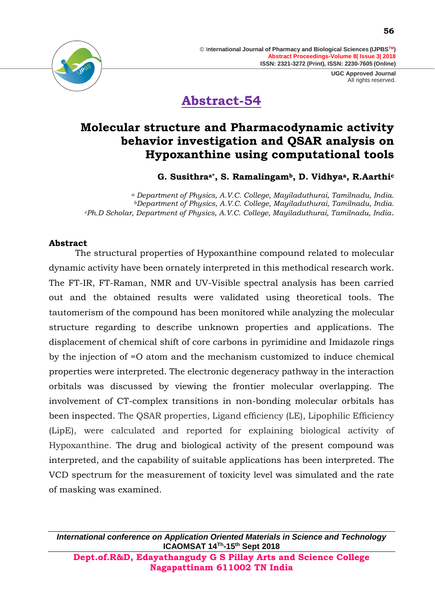

**Abstract-54**

### **Molecular structure and Pharmacodynamic activity behavior investigation and QSAR analysis on Hypoxanthine using computational tools**

**G. Susithraa\*, S. Ramalingamb, D. Vidhyaa, R.Aarthi<sup>c</sup>**

*<sup>a</sup> Department of Physics, A.V.C. College, Mayiladuthurai, Tamilnadu, India. <sup>b</sup>Department of Physics, A.V.C. College, Mayiladuthurai, Tamilnadu, India. <sup>c</sup>Ph.D Scholar, Department of Physics, A.V.C. College, Mayiladuthurai, Tamilnadu, India.*

### **Abstract**

The structural properties of Hypoxanthine compound related to molecular dynamic activity have been ornately interpreted in this methodical research work. The FT-IR, FT-Raman, NMR and UV-Visible spectral analysis has been carried out and the obtained results were validated using theoretical tools. The tautomerism of the compound has been monitored while analyzing the molecular structure regarding to describe unknown properties and applications. The displacement of chemical shift of core carbons in pyrimidine and Imidazole rings by the injection of =O atom and the mechanism customized to induce chemical properties were interpreted. The electronic degeneracy pathway in the interaction orbitals was discussed by viewing the frontier molecular overlapping. The involvement of CT-complex transitions in non-bonding molecular orbitals has been inspected. The QSAR properties, Ligand efficiency (LE), Lipophilic Efficiency (LipE), were calculated and reported for explaining biological activity of Hypoxanthine. The drug and biological activity of the present compound was interpreted, and the capability of suitable applications has been interpreted. The VCD spectrum for the measurement of toxicity level was simulated and the rate of masking was examined.

*International conference on Application Oriented Materials in Science and Technology* **ICAOMSAT 14Th -15th Sept 2018 Dept.of.R&D, Edayathangudy G S Pillay Arts and Science College** 

**Nagapattinam 611002 TN India**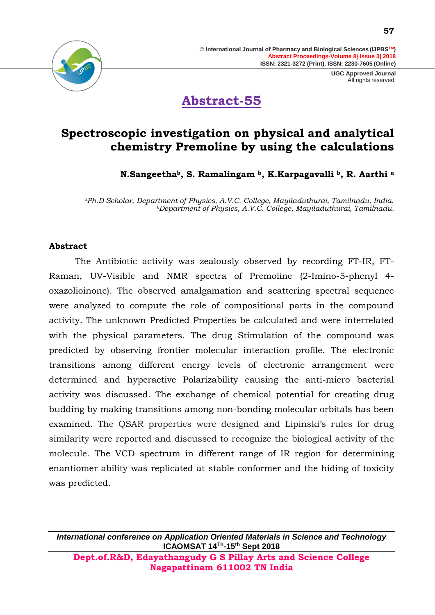



### **Spectroscopic investigation on physical and analytical chemistry Premoline by using the calculations**

**N.Sangeethab, S. Ramalingam b, K.Karpagavalli b, R. Aarthi <sup>a</sup>**

*<sup>a</sup>Ph.D Scholar, Department of Physics, A.V.C. College, Mayiladuthurai, Tamilnadu, India. <sup>b</sup>Department of Physics, A.V.C. College, Mayiladuthurai, Tamilnadu.*

#### **Abstract**

The Antibiotic activity was zealously observed by recording FT-IR, FT-Raman, UV-Visible and NMR spectra of Premoline (2-Imino-5-phenyl 4 oxazolioinone). The observed amalgamation and scattering spectral sequence were analyzed to compute the role of compositional parts in the compound activity. The unknown Predicted Properties be calculated and were interrelated with the physical parameters. The drug Stimulation of the compound was predicted by observing frontier molecular interaction profile. The electronic transitions among different energy levels of electronic arrangement were determined and hyperactive Polarizability causing the anti-micro bacterial activity was discussed. The exchange of chemical potential for creating drug budding by making transitions among non-bonding molecular orbitals has been examined. The QSAR properties were designed and Lipinski's rules for drug similarity were reported and discussed to recognize the biological activity of the molecule. The VCD spectrum in different range of IR region for determining enantiomer ability was replicated at stable conformer and the hiding of toxicity was predicted.

*International conference on Application Oriented Materials in Science and Technology* **ICAOMSAT 14Th -15th Sept 2018 Dept.of.R&D, Edayathangudy G S Pillay Arts and Science College** 

**Nagapattinam 611002 TN India**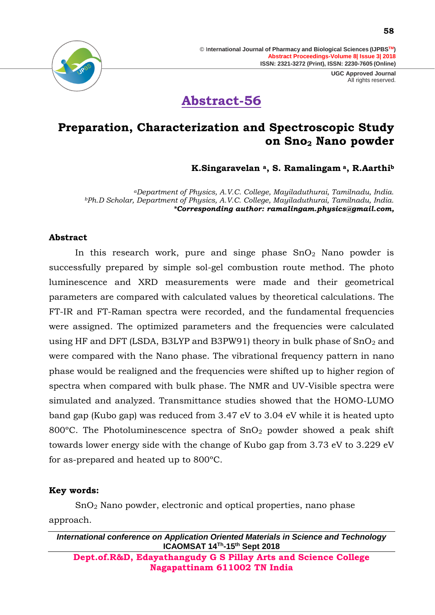

### **Preparation, Characterization and Spectroscopic Study on Sno<sup>2</sup> Nano powder**

**K.Singaravelan <sup>a</sup>, S. Ramalingam <sup>a</sup>, R.Aarthi<sup>b</sup>**

*<sup>a</sup>Department of Physics, A.V.C. College, Mayiladuthurai, Tamilnadu, India. <sup>b</sup>Ph.D Scholar, Department of Physics, A.V.C. College, Mayiladuthurai, Tamilnadu, India. \*Corresponding author: [ramalingam.physics@gmail.com,](mailto:ramalingam.physics@gmail.com)*

#### **Abstract**

In this research work, pure and singe phase  $SnO<sub>2</sub>$  Nano powder is successfully prepared by simple sol-gel combustion route method. The photo luminescence and XRD measurements were made and their geometrical parameters are compared with calculated values by theoretical calculations. The FT-IR and FT-Raman spectra were recorded, and the fundamental frequencies were assigned. The optimized parameters and the frequencies were calculated using HF and DFT (LSDA, B3LYP and B3PW91) theory in bulk phase of  $SnO<sub>2</sub>$  and were compared with the Nano phase. The vibrational frequency pattern in nano phase would be realigned and the frequencies were shifted up to higher region of spectra when compared with bulk phase. The NMR and UV-Visible spectra were simulated and analyzed. Transmittance studies showed that the HOMO-LUMO band gap (Kubo gap) was reduced from 3.47 eV to 3.04 eV while it is heated upto 800 $^{\circ}$ C. The Photoluminescence spectra of SnO<sub>2</sub> powder showed a peak shift towards lower energy side with the change of Kubo gap from 3.73 eV to 3.229 eV for as-prepared and heated up to 800ºC.

#### **Key words:**

SnO<sup>2</sup> Nano powder, electronic and optical properties, nano phase approach.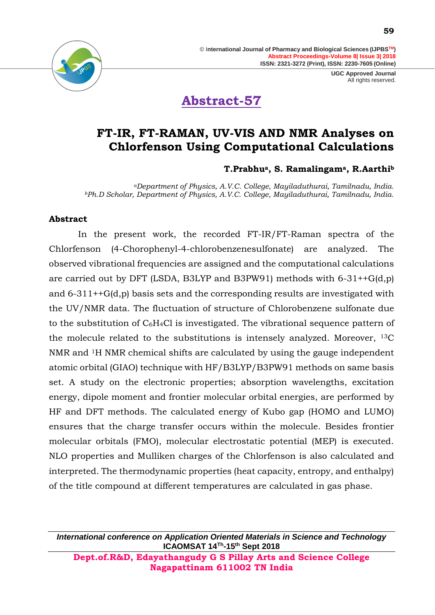

# **Abstract-57**

### **FT-IR, FT-RAMAN, UV-VIS AND NMR Analyses on Chlorfenson Using Computational Calculations**

### **T.Prabhua, S. Ramalingama, R.Aarthi<sup>b</sup>**

*<sup>a</sup>Department of Physics, A.V.C. College, Mayiladuthurai, Tamilnadu, India. <sup>b</sup>Ph.D Scholar, Department of Physics, A.V.C. College, Mayiladuthurai, Tamilnadu, India.*

#### **Abstract**

In the present work, the recorded FT-IR/FT-Raman spectra of the Chlorfenson (4-Chorophenyl-4-chlorobenzenesulfonate) are analyzed. The observed vibrational frequencies are assigned and the computational calculations are carried out by DFT (LSDA, B3LYP and B3PW91) methods with  $6-31++G(d,p)$ and 6-311++G(d,p) basis sets and the corresponding results are investigated with the UV/NMR data. The fluctuation of structure of Chlorobenzene sulfonate due to the substitution of  $C_6H_4Cl$  is investigated. The vibrational sequence pattern of the molecule related to the substitutions is intensely analyzed. Moreover, 13C NMR and 1H NMR chemical shifts are calculated by using the gauge independent atomic orbital (GIAO) technique with HF/B3LYP/B3PW91 methods on same basis set. A study on the electronic properties; absorption wavelengths, excitation energy, dipole moment and frontier molecular orbital energies, are performed by HF and DFT methods. The calculated energy of Kubo gap (HOMO and LUMO) ensures that the charge transfer occurs within the molecule. Besides frontier molecular orbitals (FMO), molecular electrostatic potential (MEP) is executed. NLO properties and Mulliken charges of the Chlorfenson is also calculated and interpreted. The thermodynamic properties (heat capacity, entropy, and enthalpy) of the title compound at different temperatures are calculated in gas phase.

*International conference on Application Oriented Materials in Science and Technology* **ICAOMSAT 14Th -15th Sept 2018**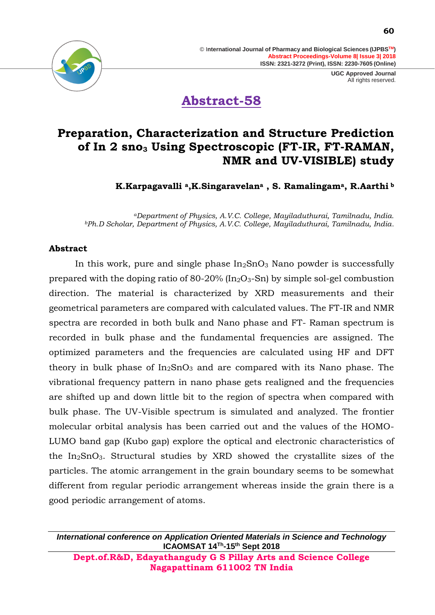

**Abstract-58**

### **Preparation, Characterization and Structure Prediction of In 2 sno<sup>3</sup> Using Spectroscopic (FT-IR, FT-RAMAN, NMR and UV-VISIBLE) study**

**K.Karpagavalli a,K.Singaravelan<sup>a</sup> , S. Ramalingama, R.Aarthi <sup>b</sup>**

*<sup>a</sup>Department of Physics, A.V.C. College, Mayiladuthurai, Tamilnadu, India. <sup>b</sup>Ph.D Scholar, Department of Physics, A.V.C. College, Mayiladuthurai, Tamilnadu, India.*

#### **Abstract**

In this work, pure and single phase  $In<sub>2</sub>SnO<sub>3</sub>$  Nano powder is successfully prepared with the doping ratio of  $80-20\%$  (In<sub>2</sub>O<sub>3</sub>-Sn) by simple sol-gel combustion direction. The material is characterized by XRD measurements and their geometrical parameters are compared with calculated values. The FT-IR and NMR spectra are recorded in both bulk and Nano phase and FT- Raman spectrum is recorded in bulk phase and the fundamental frequencies are assigned. The optimized parameters and the frequencies are calculated using HF and DFT theory in bulk phase of  $In_2SnO_3$  and are compared with its Nano phase. The vibrational frequency pattern in nano phase gets realigned and the frequencies are shifted up and down little bit to the region of spectra when compared with bulk phase. The UV-Visible spectrum is simulated and analyzed. The frontier molecular orbital analysis has been carried out and the values of the HOMO-LUMO band gap (Kubo gap) explore the optical and electronic characteristics of the  $In_2SnO_3$ . Structural studies by XRD showed the crystallite sizes of the particles. The atomic arrangement in the grain boundary seems to be somewhat different from regular periodic arrangement whereas inside the grain there is a good periodic arrangement of atoms.

*International conference on Application Oriented Materials in Science and Technology* **ICAOMSAT 14Th -15th Sept 2018**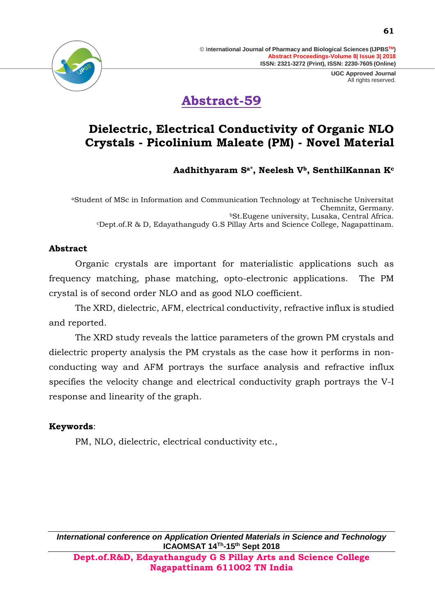

# **Abstract-59**

### **Dielectric, Electrical Conductivity of Organic NLO Crystals - Picolinium Maleate (PM) - Novel Material**

**Aadhithyaram Sa\*, Neelesh Vb, SenthilKannan K<sup>c</sup>**

<sup>a</sup>Student of MSc in Information and Communication Technology at Technische Universitat Chemnitz, Germany. <sup>b</sup>St.Eugene university, Lusaka, Central Africa. <sup>c</sup>Dept.of.R & D, Edayathangudy G.S Pillay Arts and Science College, Nagapattinam.

### **Abstract**

Organic crystals are important for materialistic applications such as frequency matching, phase matching, opto-electronic applications. The PM crystal is of second order NLO and as good NLO coefficient.

The XRD, dielectric, AFM, electrical conductivity, refractive influx is studied and reported.

The XRD study reveals the lattice parameters of the grown PM crystals and dielectric property analysis the PM crystals as the case how it performs in nonconducting way and AFM portrays the surface analysis and refractive influx specifies the velocity change and electrical conductivity graph portrays the V-I response and linearity of the graph.

### **Keywords**:

PM, NLO, dielectric, electrical conductivity etc.,

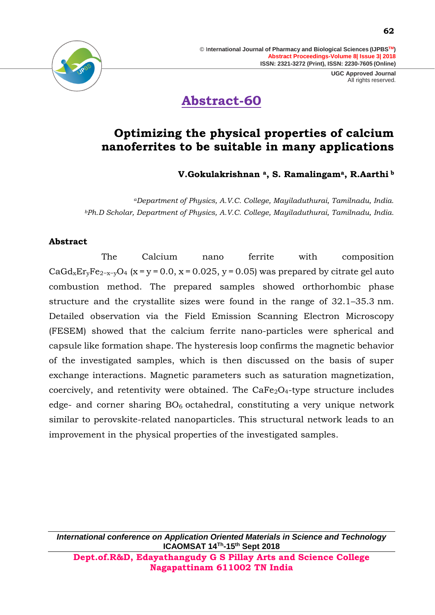# **Abstract-60**

### **Optimizing the physical properties of calcium nanoferrites to be suitable in many applications**

**V.Gokulakrishnan a, S. Ramalingama, R.Aarthi <sup>b</sup>**

*<sup>a</sup>Department of Physics, A.V.C. College, Mayiladuthurai, Tamilnadu, India. <sup>b</sup>Ph.D Scholar, Department of Physics, A.V.C. College, Mayiladuthurai, Tamilnadu, India.*

### **Abstract**

The Calcium nano ferrite with composition CaGd<sub>x</sub>Er<sub>v</sub>Fe<sub>2-x-v</sub>O<sub>4</sub> (x = y = 0.0, x = 0.025, y = 0.05) was prepared by citrate gel auto combustion method. The prepared samples showed orthorhombic phase structure and the crystallite sizes were found in the range of 32.1–35.3 nm. Detailed observation via the Field Emission Scanning Electron Microscopy (FESEM) showed that the calcium ferrite nano-particles were spherical and capsule like formation shape. The hysteresis loop confirms the magnetic behavior of the investigated samples, which is then discussed on the basis of super exchange interactions. Magnetic parameters such as saturation magnetization, coercively, and retentivity were obtained. The  $CaFe<sub>2</sub>O<sub>4</sub>$ -type structure includes edge- and corner sharing  $BO<sub>6</sub>$  octahedral, constituting a very unique network similar to perovskite-related nanoparticles. This structural network leads to an improvement in the physical properties of the investigated samples.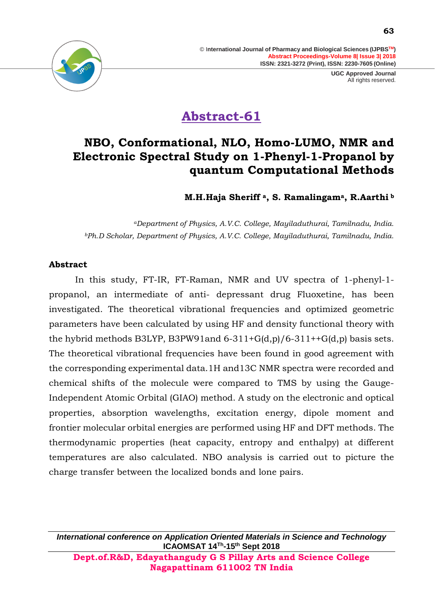

# **Abstract-61**

### **NBO, Conformational, NLO, Homo-LUMO, NMR and Electronic Spectral Study on 1-Phenyl-1-Propanol by quantum Computational Methods**

**M.H.Haja Sheriff a, S. Ramalingama, R.Aarthi <sup>b</sup>**

*<sup>a</sup>Department of Physics, A.V.C. College, Mayiladuthurai, Tamilnadu, India. <sup>b</sup>Ph.D Scholar, Department of Physics, A.V.C. College, Mayiladuthurai, Tamilnadu, India.*

#### **Abstract**

In this study, FT-IR, FT-Raman, NMR and UV spectra of 1-phenyl-1 propanol, an intermediate of anti- depressant drug Fluoxetine, has been investigated. The theoretical vibrational frequencies and optimized geometric parameters have been calculated by using HF and density functional theory with the hybrid methods B3LYP, B3PW91and  $6-311+G(d,p)/6-311+G(d,p)$  basis sets. The theoretical vibrational frequencies have been found in good agreement with the corresponding experimental data.1H and13C NMR spectra were recorded and chemical shifts of the molecule were compared to TMS by using the Gauge-Independent Atomic Orbital (GIAO) method. A study on the electronic and optical properties, absorption wavelengths, excitation energy, dipole moment and frontier molecular orbital energies are performed using HF and DFT methods. The thermodynamic properties (heat capacity, entropy and enthalpy) at different temperatures are also calculated. NBO analysis is carried out to picture the charge transfer between the localized bonds and lone pairs.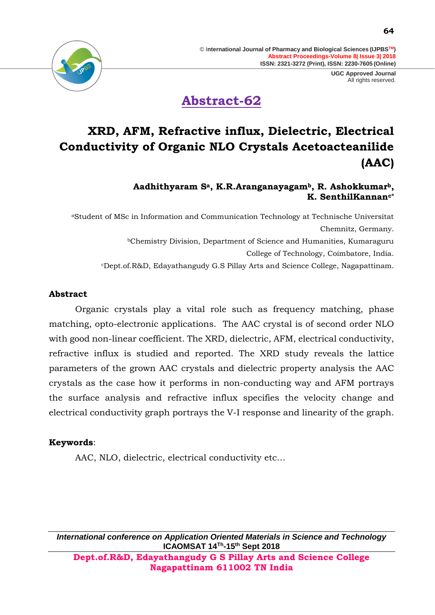



# **XRD, AFM, Refractive influx, Dielectric, Electrical Conductivity of Organic NLO Crystals Acetoacteanilide (AAC)**

#### **Aadhithyaram Sa, K.R.Aranganayagamb, R. Ashokkumarb, K. SenthilKannanc\***

<sup>a</sup>Student of MSc in Information and Communication Technology at Technische Universitat Chemnitz, Germany. <sup>b</sup>Chemistry Division, Department of Science and Humanities, Kumaraguru College of Technology, Coimbatore, India. <sup>c</sup>Dept.of.R&D, Edayathangudy G.S Pillay Arts and Science College, Nagapattinam.

### **Abstract**

Organic crystals play a vital role such as frequency matching, phase matching, opto-electronic applications. The AAC crystal is of second order NLO with good non-linear coefficient. The XRD, dielectric, AFM, electrical conductivity, refractive influx is studied and reported. The XRD study reveals the lattice parameters of the grown AAC crystals and dielectric property analysis the AAC crystals as the case how it performs in non-conducting way and AFM portrays the surface analysis and refractive influx specifies the velocity change and electrical conductivity graph portrays the V-I response and linearity of the graph.

### **Keywords**:

AAC, NLO, dielectric, electrical conductivity etc…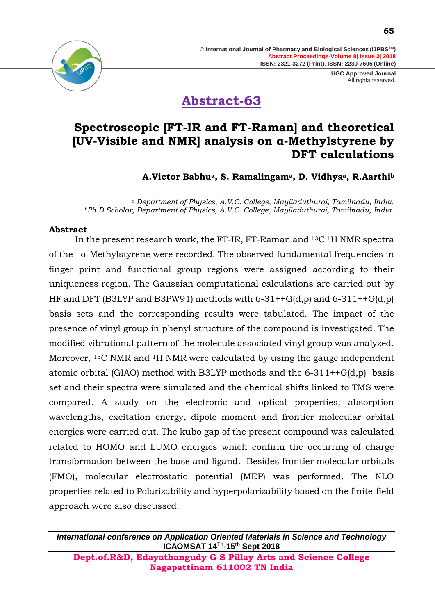

**Abstract-63**

### **Spectroscopic [FT-IR and FT-Raman] and theoretical [UV-Visible and NMR] analysis on α-Methylstyrene by DFT calculations**

**A.Victor Babhua, S. Ramalingama, D. Vidhyaa, R.Aarthi<sup>b</sup>**

*<sup>a</sup> Department of Physics, A.V.C. College, Mayiladuthurai, Tamilnadu, India. <sup>b</sup>Ph.D Scholar, Department of Physics, A.V.C. College, Mayiladuthurai, Tamilnadu, India.*

### **Abstract**

In the present research work, the FT-IR, FT-Raman and 13C 1H NMR spectra of the α-Methylstyrene were recorded. The observed fundamental frequencies in finger print and functional group regions were assigned according to their uniqueness region. The Gaussian computational calculations are carried out by HF and DFT (B3LYP and B3PW91) methods with  $6-31++G(d,p)$  and  $6-311++G(d,p)$ basis sets and the corresponding results were tabulated. The impact of the presence of vinyl group in phenyl structure of the compound is investigated. The modified vibrational pattern of the molecule associated vinyl group was analyzed. Moreover, <sup>13</sup>C NMR and <sup>1</sup>H NMR were calculated by using the gauge independent atomic orbital (GIAO) method with B3LYP methods and the  $6-311++G(d,p)$  basis set and their spectra were simulated and the chemical shifts linked to TMS were compared. A study on the electronic and optical properties; absorption wavelengths, excitation energy, dipole moment and frontier molecular orbital energies were carried out. The kubo gap of the present compound was calculated related to HOMO and LUMO energies which confirm the occurring of charge transformation between the base and ligand. Besides frontier molecular orbitals (FMO), molecular electrostatic potential (MEP) was performed. The NLO properties related to Polarizability and hyperpolarizability based on the finite-field approach were also discussed.

*International conference on Application Oriented Materials in Science and Technology* **ICAOMSAT 14Th -15th Sept 2018**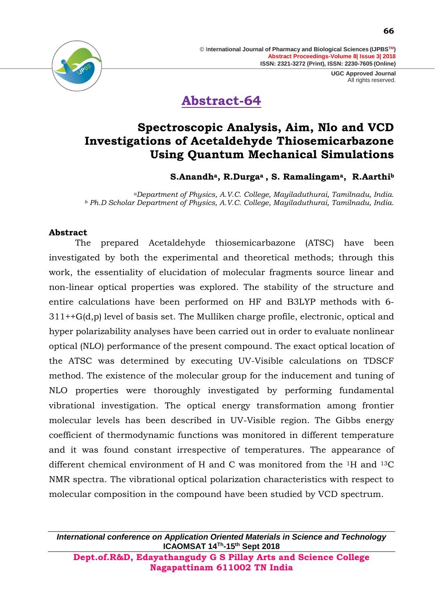

# **Abstract-64**

### **Spectroscopic Analysis, Aim, Nlo and VCD Investigations of Acetaldehyde Thiosemicarbazone Using Quantum Mechanical Simulations**

**S.Anandha, R.Durgaa , S. Ramalingama, R.Aarthi<sup>b</sup>**

*<sup>a</sup>Department of Physics, A.V.C. College, Mayiladuthurai, Tamilnadu, India. <sup>b</sup> Ph.D Scholar Department of Physics, A.V.C. College, Mayiladuthurai, Tamilnadu, India.* 

### **Abstract**

The prepared Acetaldehyde thiosemicarbazone (ATSC) have been investigated by both the experimental and theoretical methods; through this work, the essentiality of elucidation of molecular fragments source linear and non-linear optical properties was explored. The stability of the structure and entire calculations have been performed on HF and B3LYP methods with 6- 311++G(d,p) level of basis set. The Mulliken charge profile, electronic, optical and hyper polarizability analyses have been carried out in order to evaluate nonlinear optical (NLO) performance of the present compound. The exact optical location of the ATSC was determined by executing UV-Visible calculations on TDSCF method. The existence of the molecular group for the inducement and tuning of NLO properties were thoroughly investigated by performing fundamental vibrational investigation. The optical energy transformation among frontier molecular levels has been described in UV-Visible region. The Gibbs energy coefficient of thermodynamic functions was monitored in different temperature and it was found constant irrespective of temperatures. The appearance of different chemical environment of H and C was monitored from the 1H and 13C NMR spectra. The vibrational optical polarization characteristics with respect to molecular composition in the compound have been studied by VCD spectrum.

*International conference on Application Oriented Materials in Science and Technology* **ICAOMSAT 14Th -15th Sept 2018**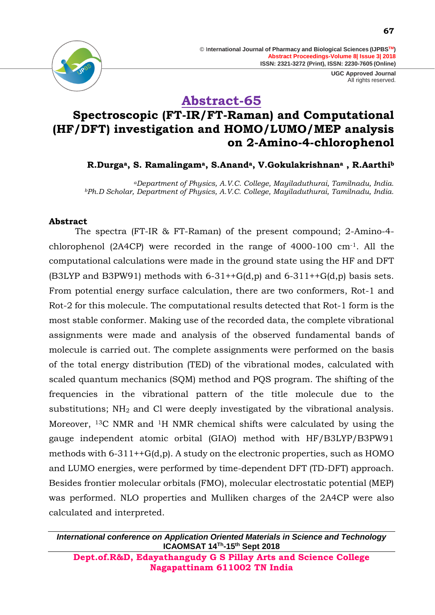

> **UGC Approved Journal** All rights reserved.



**Abstract-65**

### **Spectroscopic (FT-IR/FT-Raman) and Computational (HF/DFT) investigation and HOMO/LUMO/MEP analysis on 2-Amino-4-chlorophenol**

### **R.Durgaa, S. Ramalingama, S.Ananda, V.Gokulakrishnan<sup>a</sup> , R.Aarthi<sup>b</sup>**

*<sup>a</sup>Department of Physics, A.V.C. College, Mayiladuthurai, Tamilnadu, India. <sup>b</sup>Ph.D Scholar, Department of Physics, A.V.C. College, Mayiladuthurai, Tamilnadu, India.*

#### **Abstract**

The spectra (FT-IR & FT-Raman) of the present compound; 2-Amino-4 chlorophenol (2A4CP) were recorded in the range of 4000-100 cm-1. All the computational calculations were made in the ground state using the HF and DFT (B3LYP and B3PW91) methods with  $6-31++G(d,p)$  and  $6-311++G(d,p)$  basis sets. From potential energy surface calculation, there are two conformers, Rot-1 and Rot-2 for this molecule. The computational results detected that Rot-1 form is the most stable conformer. Making use of the recorded data, the complete vibrational assignments were made and analysis of the observed fundamental bands of molecule is carried out. The complete assignments were performed on the basis of the total energy distribution (TED) of the vibrational modes, calculated with scaled quantum mechanics (SQM) method and PQS program. The shifting of the frequencies in the vibrational pattern of the title molecule due to the substitutions; NH<sup>2</sup> and Cl were deeply investigated by the vibrational analysis. Moreover, 13C NMR and 1H NMR chemical shifts were calculated by using the gauge independent atomic orbital (GIAO) method with HF/B3LYP/B3PW91 methods with  $6-311++G(d,p)$ . A study on the electronic properties, such as HOMO and LUMO energies, were performed by time-dependent DFT (TD-DFT) approach. Besides frontier molecular orbitals (FMO), molecular electrostatic potential (MEP) was performed. NLO properties and Mulliken charges of the 2A4CP were also calculated and interpreted.

*International conference on Application Oriented Materials in Science and Technology* **ICAOMSAT 14Th -15th Sept 2018**